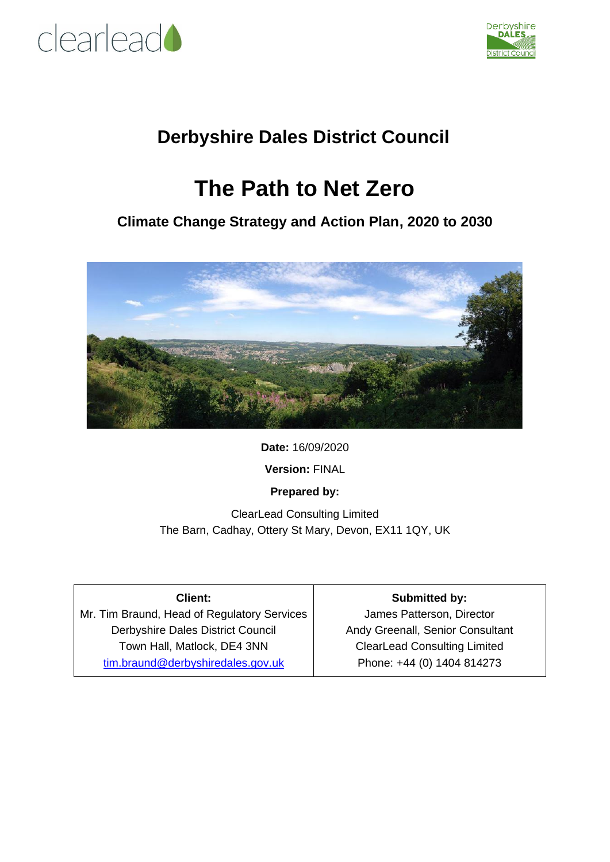



### **Derbyshire Dales District Council**

### **The Path to Net Zero**

### **Climate Change Strategy and Action Plan, 2020 to 2030**



**Date:** 16/09/2020

**Version:** FINAL

**Prepared by:**

ClearLead Consulting Limited The Barn, Cadhay, Ottery St Mary, Devon, EX11 1QY, UK

| <b>Client:</b>                              | <b>Submitted by:</b>                |
|---------------------------------------------|-------------------------------------|
| Mr. Tim Braund, Head of Regulatory Services | James Patterson, Director           |
| Derbyshire Dales District Council           | Andy Greenall, Senior Consultant    |
| Town Hall, Matlock, DE4 3NN                 | <b>ClearLead Consulting Limited</b> |
| tim.braund@derbyshiredales.gov.uk           | Phone: +44 (0) 1404 814273          |
|                                             |                                     |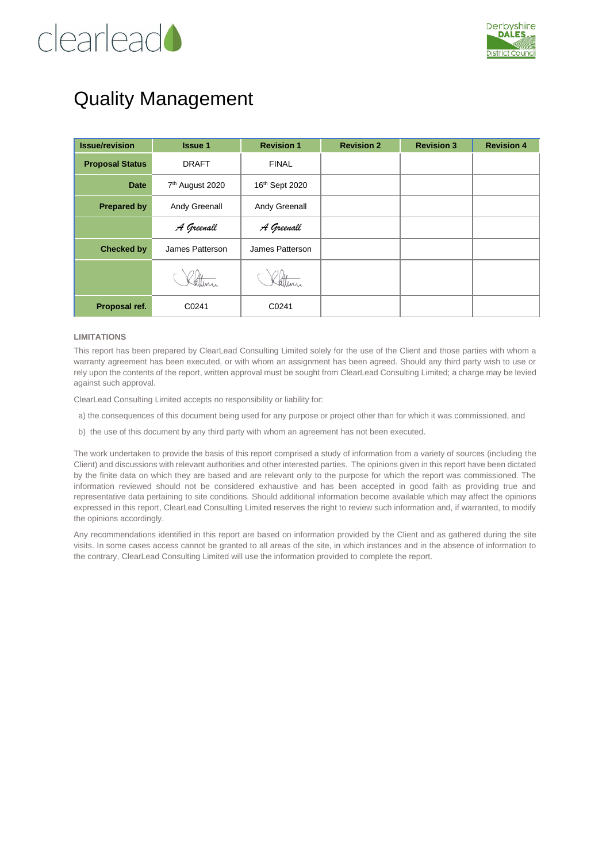## clearlead



### Quality Management

| <b>Issue/revision</b>  | <b>Issue 1</b>              | <b>Revision 1</b> | <b>Revision 2</b> | <b>Revision 3</b> | <b>Revision 4</b> |
|------------------------|-----------------------------|-------------------|-------------------|-------------------|-------------------|
| <b>Proposal Status</b> | <b>DRAFT</b>                | <b>FINAL</b>      |                   |                   |                   |
| <b>Date</b>            | 7 <sup>th</sup> August 2020 | 16th Sept 2020    |                   |                   |                   |
| <b>Prepared by</b>     | Andy Greenall               | Andy Greenall     |                   |                   |                   |
|                        | A Greenall                  | A Greenall        |                   |                   |                   |
| <b>Checked by</b>      | James Patterson             | James Patterson   |                   |                   |                   |
|                        |                             |                   |                   |                   |                   |
| Proposal ref.          | C0241                       | C0241             |                   |                   |                   |

#### **LIMITATIONS**

This report has been prepared by ClearLead Consulting Limited solely for the use of the Client and those parties with whom a warranty agreement has been executed, or with whom an assignment has been agreed. Should any third party wish to use or rely upon the contents of the report, written approval must be sought from ClearLead Consulting Limited; a charge may be levied against such approval.

ClearLead Consulting Limited accepts no responsibility or liability for:

a) the consequences of this document being used for any purpose or project other than for which it was commissioned, and

b) the use of this document by any third party with whom an agreement has not been executed.

The work undertaken to provide the basis of this report comprised a study of information from a variety of sources (including the Client) and discussions with relevant authorities and other interested parties. The opinions given in this report have been dictated by the finite data on which they are based and are relevant only to the purpose for which the report was commissioned. The information reviewed should not be considered exhaustive and has been accepted in good faith as providing true and representative data pertaining to site conditions. Should additional information become available which may affect the opinions expressed in this report, ClearLead Consulting Limited reserves the right to review such information and, if warranted, to modify the opinions accordingly.

Any recommendations identified in this report are based on information provided by the Client and as gathered during the site visits. In some cases access cannot be granted to all areas of the site, in which instances and in the absence of information to the contrary, ClearLead Consulting Limited will use the information provided to complete the report.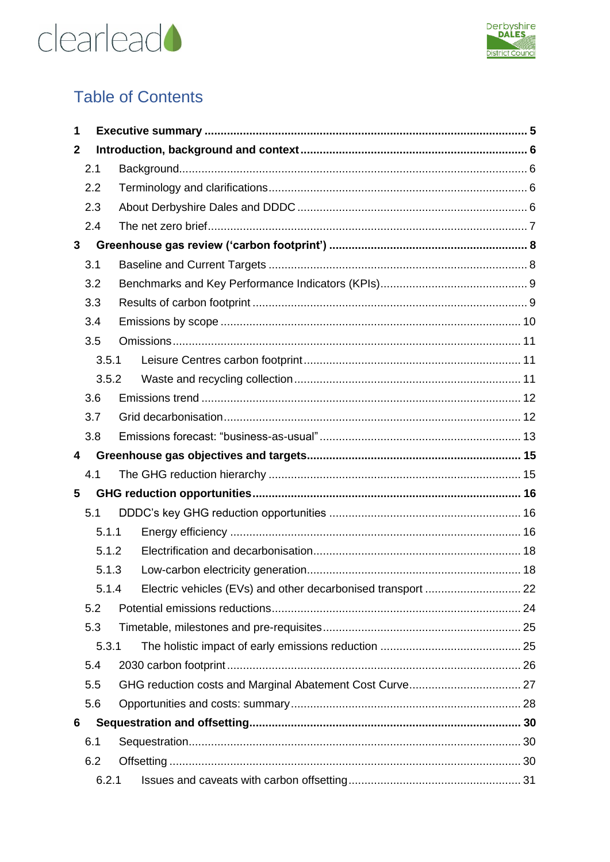



### **Table of Contents**

| 1            |       |  |
|--------------|-------|--|
| $\mathbf{2}$ |       |  |
|              | 2.1   |  |
|              | 2.2   |  |
|              | 2.3   |  |
|              | 2.4   |  |
| 3            |       |  |
|              | 3.1   |  |
|              | 3.2   |  |
|              | 3.3   |  |
|              | 3.4   |  |
|              | 3.5   |  |
|              | 3.5.1 |  |
|              | 3.5.2 |  |
|              | 3.6   |  |
|              | 3.7   |  |
|              | 3.8   |  |
| 4            |       |  |
|              | 4.1   |  |
| 5            |       |  |
|              | 5.1   |  |
|              | 5.1.1 |  |
|              | 5.1.2 |  |
|              | 5.1.3 |  |
|              | 5.1.4 |  |
|              | 5.2   |  |
|              | 5.3   |  |
|              | 5.3.1 |  |
|              | 5.4   |  |
|              | 5.5   |  |
|              | 5.6   |  |
| 6            |       |  |
|              | 6.1   |  |
|              | 6.2   |  |
|              | 6.2.1 |  |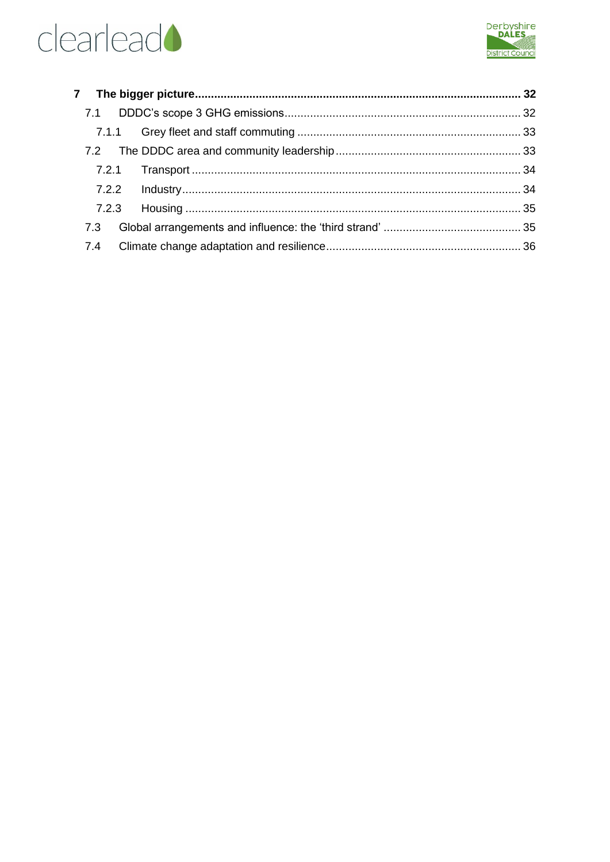



| 7.1   |  |  |
|-------|--|--|
|       |  |  |
|       |  |  |
| 7.2.1 |  |  |
|       |  |  |
| 7.2.3 |  |  |
| 7.3   |  |  |
| 7.4   |  |  |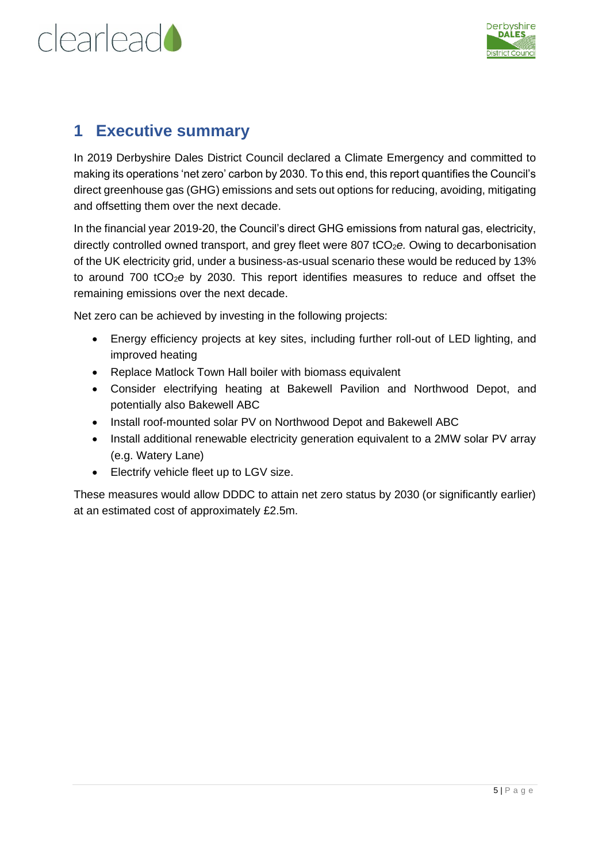



### <span id="page-4-0"></span>**1 Executive summary**

In 2019 Derbyshire Dales District Council declared a Climate Emergency and committed to making its operations 'net zero' carbon by 2030. To this end, this report quantifies the Council's direct greenhouse gas (GHG) emissions and sets out options for reducing, avoiding, mitigating and offsetting them over the next decade.

In the financial year 2019-20, the Council's direct GHG emissions from natural gas, electricity, directly controlled owned transport, and grey fleet were 807 tCO<sub>2</sub>e. Owing to decarbonisation of the UK electricity grid, under a business-as-usual scenario these would be reduced by 13% to around 700 tCO2*e* by 2030. This report identifies measures to reduce and offset the remaining emissions over the next decade.

Net zero can be achieved by investing in the following projects:

- Energy efficiency projects at key sites, including further roll-out of LED lighting, and improved heating
- Replace Matlock Town Hall boiler with biomass equivalent
- Consider electrifying heating at Bakewell Pavilion and Northwood Depot, and potentially also Bakewell ABC
- Install roof-mounted solar PV on Northwood Depot and Bakewell ABC
- Install additional renewable electricity generation equivalent to a 2MW solar PV array (e.g. Watery Lane)
- Electrify vehicle fleet up to LGV size.

These measures would allow DDDC to attain net zero status by 2030 (or significantly earlier) at an estimated cost of approximately £2.5m.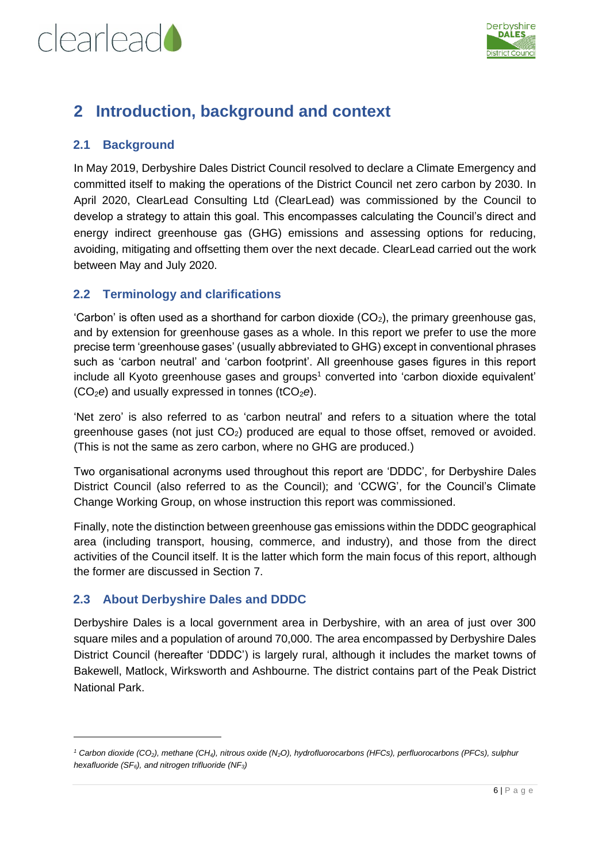



### <span id="page-5-0"></span>**2 Introduction, background and context**

#### <span id="page-5-1"></span>**2.1 Background**

In May 2019, Derbyshire Dales District Council resolved to declare a Climate Emergency and committed itself to making the operations of the District Council net zero carbon by 2030. In April 2020, ClearLead Consulting Ltd (ClearLead) was commissioned by the Council to develop a strategy to attain this goal. This encompasses calculating the Council's direct and energy indirect greenhouse gas (GHG) emissions and assessing options for reducing, avoiding, mitigating and offsetting them over the next decade. ClearLead carried out the work between May and July 2020.

#### <span id="page-5-2"></span>**2.2 Terminology and clarifications**

'Carbon' is often used as a shorthand for carbon dioxide  $(CO<sub>2</sub>)$ , the primary greenhouse gas, and by extension for greenhouse gases as a whole. In this report we prefer to use the more precise term 'greenhouse gases' (usually abbreviated to GHG) except in conventional phrases such as 'carbon neutral' and 'carbon footprint'. All greenhouse gases figures in this report include all Kyoto greenhouse gases and groups<sup>1</sup> converted into 'carbon dioxide equivalent' (CO<sub>2</sub>e) and usually expressed in tonnes (tCO<sub>2</sub>e).

'Net zero' is also referred to as 'carbon neutral' and refers to a situation where the total greenhouse gases (not just  $CO<sub>2</sub>$ ) produced are equal to those offset, removed or avoided. (This is not the same as zero carbon, where no GHG are produced.)

Two organisational acronyms used throughout this report are 'DDDC', for Derbyshire Dales District Council (also referred to as the Council); and 'CCWG', for the Council's Climate Change Working Group, on whose instruction this report was commissioned.

Finally, note the distinction between greenhouse gas emissions within the DDDC geographical area (including transport, housing, commerce, and industry), and those from the direct activities of the Council itself. It is the latter which form the main focus of this report, although the former are discussed in Section [7.](#page-31-0)

#### <span id="page-5-3"></span>**2.3 About Derbyshire Dales and DDDC**

Derbyshire Dales is a local government area in Derbyshire, with an area of just over 300 square miles and a population of around 70,000. The area encompassed by Derbyshire Dales District Council (hereafter 'DDDC') is largely rural, although it includes the market towns of Bakewell, Matlock, Wirksworth and Ashbourne. The district contains part of the Peak District National Park.

*<sup>1</sup> Carbon dioxide (CO2), methane (CH4), nitrous oxide (N2O), hydrofluorocarbons (HFCs), perfluorocarbons (PFCs), sulphur hexafluoride (SF6), and nitrogen trifluoride (NF3)*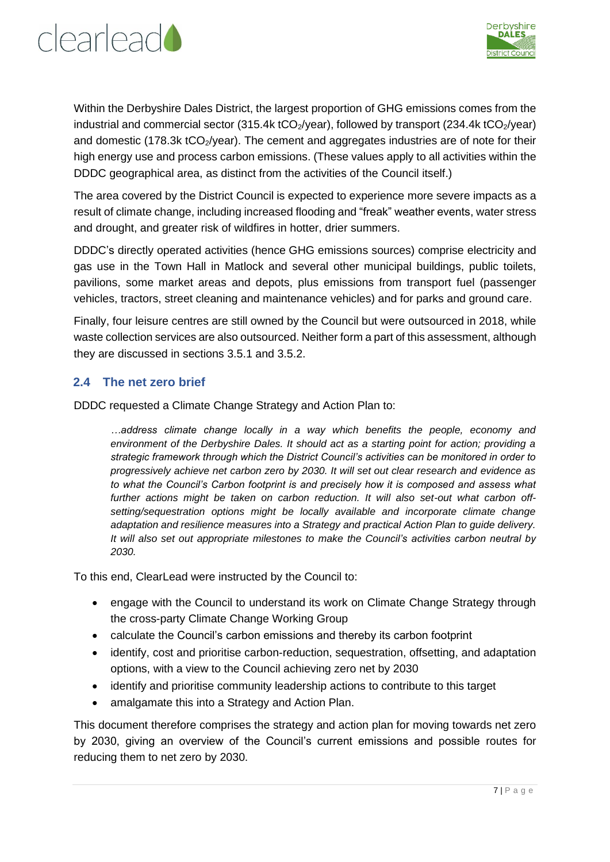



Within the Derbyshire Dales District, the largest proportion of GHG emissions comes from the industrial and commercial sector (315.4k tCO<sub>2</sub>/year), followed by transport (234.4k tCO<sub>2</sub>/year) and domestic (178.3k  $tCO<sub>2</sub>/year$ ). The cement and aggregates industries are of note for their high energy use and process carbon emissions. (These values apply to all activities within the DDDC geographical area, as distinct from the activities of the Council itself.)

The area covered by the District Council is expected to experience more severe impacts as a result of climate change, including increased flooding and "freak" weather events, water stress and drought, and greater risk of wildfires in hotter, drier summers.

DDDC's directly operated activities (hence GHG emissions sources) comprise electricity and gas use in the Town Hall in Matlock and several other municipal buildings, public toilets, pavilions, some market areas and depots, plus emissions from transport fuel (passenger vehicles, tractors, street cleaning and maintenance vehicles) and for parks and ground care.

Finally, four leisure centres are still owned by the Council but were outsourced in 2018, while waste collection services are also outsourced. Neither form a part of this assessment, although they are discussed in sections [3.5.1](#page-10-1) and [3.5.2.](#page-10-2)

#### <span id="page-6-0"></span>**2.4 The net zero brief**

DDDC requested a Climate Change Strategy and Action Plan to:

*…address climate change locally in a way which benefits the people, economy and environment of the Derbyshire Dales. It should act as a starting point for action; providing a strategic framework through which the District Council's activities can be monitored in order to progressively achieve net carbon zero by 2030. It will set out clear research and evidence as to what the Council's Carbon footprint is and precisely how it is composed and assess what further actions might be taken on carbon reduction. It will also set-out what carbon offsetting/sequestration options might be locally available and incorporate climate change adaptation and resilience measures into a Strategy and practical Action Plan to guide delivery. It will also set out appropriate milestones to make the Council's activities carbon neutral by 2030.* 

To this end, ClearLead were instructed by the Council to:

- engage with the Council to understand its work on Climate Change Strategy through the cross-party Climate Change Working Group
- calculate the Council's carbon emissions and thereby its carbon footprint
- identify, cost and prioritise carbon-reduction, sequestration, offsetting, and adaptation options, with a view to the Council achieving zero net by 2030
- identify and prioritise community leadership actions to contribute to this target
- amalgamate this into a Strategy and Action Plan.

This document therefore comprises the strategy and action plan for moving towards net zero by 2030, giving an overview of the Council's current emissions and possible routes for reducing them to net zero by 2030.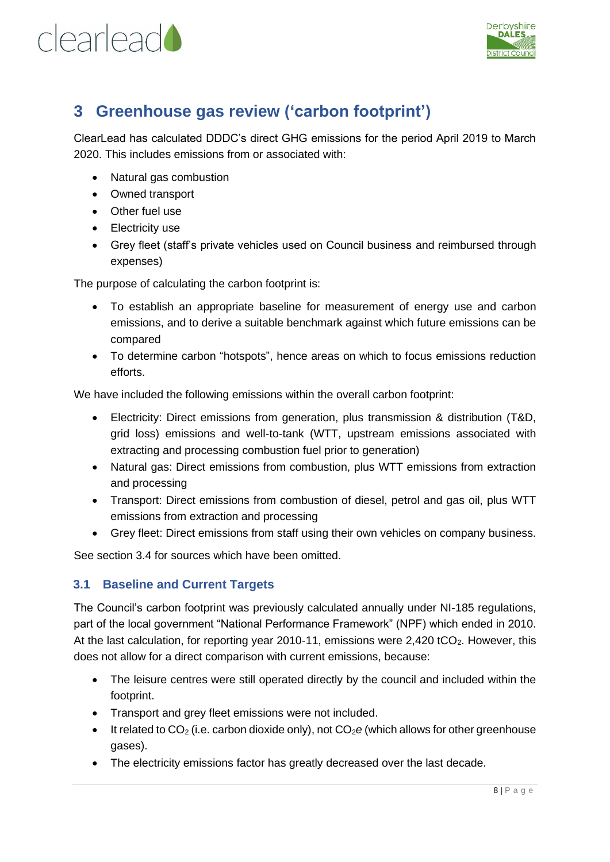



### <span id="page-7-0"></span>**3 Greenhouse gas review ('carbon footprint')**

ClearLead has calculated DDDC's direct GHG emissions for the period April 2019 to March 2020. This includes emissions from or associated with:

- Natural gas combustion
- Owned transport
- Other fuel use
- Electricity use
- Grey fleet (staff's private vehicles used on Council business and reimbursed through expenses)

The purpose of calculating the carbon footprint is:

- To establish an appropriate baseline for measurement of energy use and carbon emissions, and to derive a suitable benchmark against which future emissions can be compared
- To determine carbon "hotspots", hence areas on which to focus emissions reduction efforts.

We have included the following emissions within the overall carbon footprint:

- Electricity: Direct emissions from generation, plus transmission & distribution (T&D, grid loss) emissions and well-to-tank (WTT, upstream emissions associated with extracting and processing combustion fuel prior to generation)
- Natural gas: Direct emissions from combustion, plus WTT emissions from extraction and processing
- Transport: Direct emissions from combustion of diesel, petrol and gas oil, plus WTT emissions from extraction and processing
- Grey fleet: Direct emissions from staff using their own vehicles on company business.

See section [3.4](#page-9-0) for sources which have been omitted.

#### <span id="page-7-1"></span>**3.1 Baseline and Current Targets**

The Council's carbon footprint was previously calculated annually under NI-185 regulations, part of the local government "National Performance Framework" (NPF) which ended in 2010. At the last calculation, for reporting year 2010-11, emissions were  $2,420$  tCO<sub>2</sub>. However, this does not allow for a direct comparison with current emissions, because:

- The leisure centres were still operated directly by the council and included within the footprint.
- Transport and grey fleet emissions were not included.
- It related to  $CO<sub>2</sub>$  (i.e. carbon dioxide only), not  $CO<sub>2</sub>e$  (which allows for other greenhouse gases).
- The electricity emissions factor has greatly decreased over the last decade.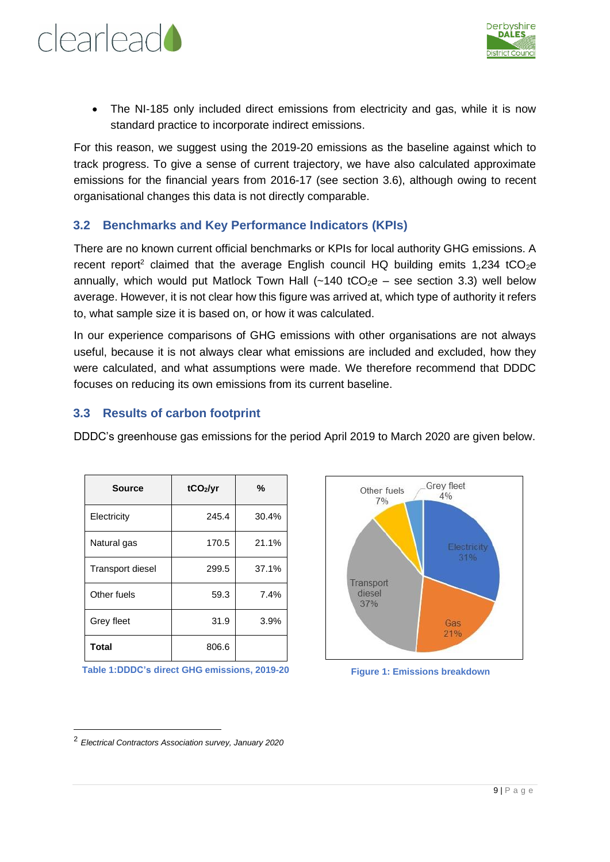



• The NI-185 only included direct emissions from electricity and gas, while it is now standard practice to incorporate indirect emissions.

For this reason, we suggest using the 2019-20 emissions as the baseline against which to track progress. To give a sense of current trajectory, we have also calculated approximate emissions for the financial years from 2016-17 (see section [3.6\)](#page-11-0), although owing to recent organisational changes this data is not directly comparable.

#### <span id="page-8-0"></span>**3.2 Benchmarks and Key Performance Indicators (KPIs)**

There are no known current official benchmarks or KPIs for local authority GHG emissions. A recent report<sup>2</sup> claimed that the average English council HQ building emits 1,234 tCO<sub>2</sub>e annually, which would put Matlock Town Hall  $(-140 \text{ tCO}_2e - \text{see section 3.3})$  well below average. However, it is not clear how this figure was arrived at, which type of authority it refers to, what sample size it is based on, or how it was calculated.

In our experience comparisons of GHG emissions with other organisations are not always useful, because it is not always clear what emissions are included and excluded, how they were calculated, and what assumptions were made. We therefore recommend that DDDC focuses on reducing its own emissions from its current baseline.

#### <span id="page-8-1"></span>**3.3 Results of carbon footprint**

DDDC's greenhouse gas emissions for the period April 2019 to March 2020 are given below.

| <b>Source</b>           | tCO <sub>2</sub> /yr | %     |  |
|-------------------------|----------------------|-------|--|
| Electricity             | 245.4                | 30.4% |  |
| Natural gas             | 170.5                | 21.1% |  |
| <b>Transport diesel</b> | 299.5                | 37.1% |  |
| Other fuels             | 59.3                 | 7.4%  |  |
| Grey fleet              | 31.9                 | 3.9%  |  |
| <b>Total</b>            | 806.6                |       |  |

**Table 1:DDDC's direct GHG emissions, 2019-20**



**Figure 1: Emissions breakdown**

<sup>2</sup> *Electrical Contractors Association survey, January 2020*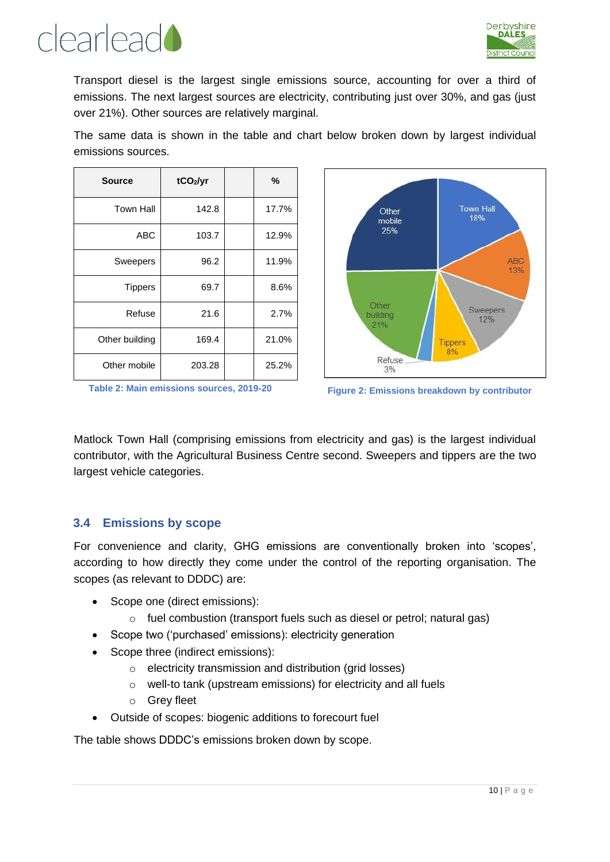



Transport diesel is the largest single emissions source, accounting for over a third of emissions. The next largest sources are electricity, contributing just over 30%, and gas (just over 21%). Other sources are relatively marginal.

The same data is shown in the table and chart below broken down by largest individual emissions sources.

| Source           | tCO <sub>2</sub> /yr | %     |
|------------------|----------------------|-------|
| <b>Town Hall</b> | 142.8                | 17.7% |
| <b>ABC</b>       | 103.7                | 12.9% |
| <b>Sweepers</b>  | 96.2                 | 11.9% |
| <b>Tippers</b>   | 69.7                 | 8.6%  |
| Refuse           | 21.6                 | 2.7%  |
| Other building   | 169.4                | 21.0% |
| Other mobile     | 203.28               | 25.2% |





Matlock Town Hall (comprising emissions from electricity and gas) is the largest individual contributor, with the Agricultural Business Centre second. Sweepers and tippers are the two largest vehicle categories.

#### <span id="page-9-0"></span>**3.4 Emissions by scope**

For convenience and clarity, GHG emissions are conventionally broken into 'scopes', according to how directly they come under the control of the reporting organisation. The scopes (as relevant to DDDC) are:

- Scope one (direct emissions):
	- o fuel combustion (transport fuels such as diesel or petrol; natural gas)
- Scope two ('purchased' emissions): electricity generation
- Scope three (indirect emissions):
	- o electricity transmission and distribution (grid losses)
	- o well-to tank (upstream emissions) for electricity and all fuels
	- o Grey fleet
- Outside of scopes: biogenic additions to forecourt fuel

The table shows DDDC's emissions broken down by scope.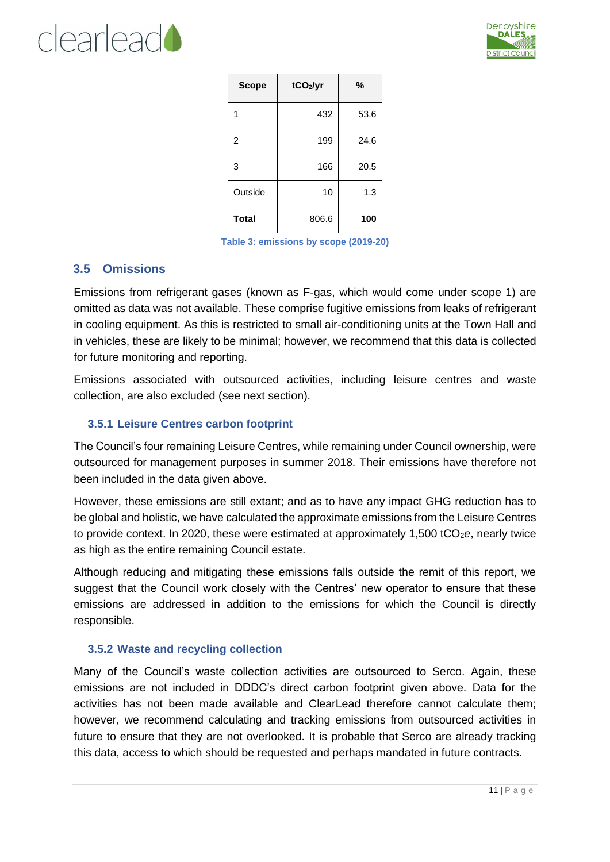



| <b>Scope</b>   | tCO <sub>2</sub> /yr | %    |
|----------------|----------------------|------|
| 1              | 432                  | 53.6 |
| $\overline{2}$ | 199                  | 24.6 |
| 3              | 166                  | 20.5 |
| Outside        | 10                   | 1.3  |
| <b>Total</b>   | 806.6                | 100  |

**Table 3: emissions by scope (2019-20)**

#### <span id="page-10-0"></span>**3.5 Omissions**

Emissions from refrigerant gases (known as F-gas, which would come under scope 1) are omitted as data was not available. These comprise fugitive emissions from leaks of refrigerant in cooling equipment. As this is restricted to small air-conditioning units at the Town Hall and in vehicles, these are likely to be minimal; however, we recommend that this data is collected for future monitoring and reporting.

Emissions associated with outsourced activities, including leisure centres and waste collection, are also excluded (see next section).

#### <span id="page-10-1"></span>**3.5.1 Leisure Centres carbon footprint**

The Council's four remaining Leisure Centres, while remaining under Council ownership, were outsourced for management purposes in summer 2018. Their emissions have therefore not been included in the data given above.

However, these emissions are still extant; and as to have any impact GHG reduction has to be global and holistic, we have calculated the approximate emissions from the Leisure Centres to provide context. In 2020, these were estimated at approximately 1,500 tCO<sub>2</sub>e, nearly twice as high as the entire remaining Council estate.

Although reducing and mitigating these emissions falls outside the remit of this report, we suggest that the Council work closely with the Centres' new operator to ensure that these emissions are addressed in addition to the emissions for which the Council is directly responsible.

#### <span id="page-10-2"></span>**3.5.2 Waste and recycling collection**

Many of the Council's waste collection activities are outsourced to Serco. Again, these emissions are not included in DDDC's direct carbon footprint given above. Data for the activities has not been made available and ClearLead therefore cannot calculate them; however, we recommend calculating and tracking emissions from outsourced activities in future to ensure that they are not overlooked. It is probable that Serco are already tracking this data, access to which should be requested and perhaps mandated in future contracts.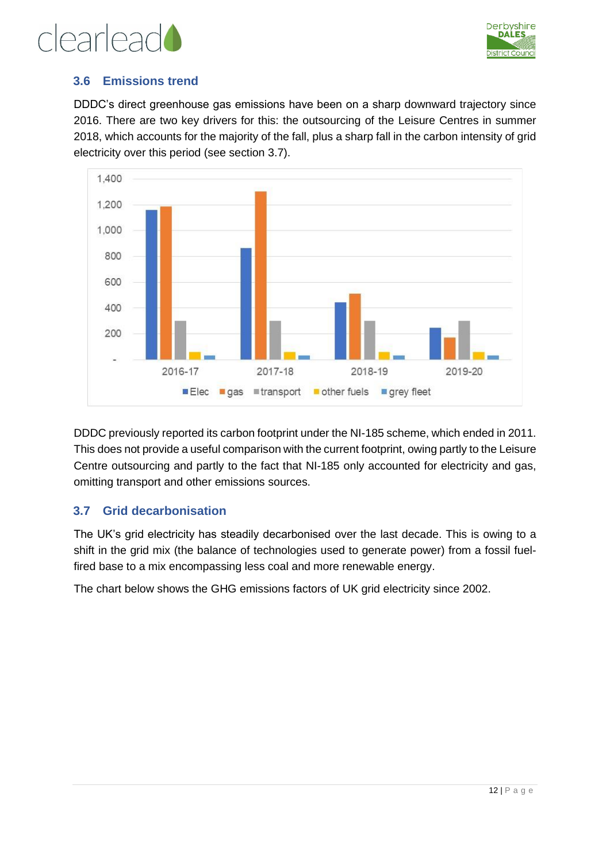

### clearlead

#### <span id="page-11-0"></span>**3.6 Emissions trend**

DDDC's direct greenhouse gas emissions have been on a sharp downward trajectory since 2016. There are two key drivers for this: the outsourcing of the Leisure Centres in summer 2018, which accounts for the majority of the fall, plus a sharp fall in the carbon intensity of grid electricity over this period (see section [3.7\)](#page-11-1).



DDDC previously reported its carbon footprint under the NI-185 scheme, which ended in 2011. This does not provide a useful comparison with the current footprint, owing partly to the Leisure Centre outsourcing and partly to the fact that NI-185 only accounted for electricity and gas, omitting transport and other emissions sources.

#### <span id="page-11-1"></span>**3.7 Grid decarbonisation**

The UK's grid electricity has steadily decarbonised over the last decade. This is owing to a shift in the grid mix (the balance of technologies used to generate power) from a fossil fuelfired base to a mix encompassing less coal and more renewable energy.

The chart below shows the GHG emissions factors of UK grid electricity since 2002.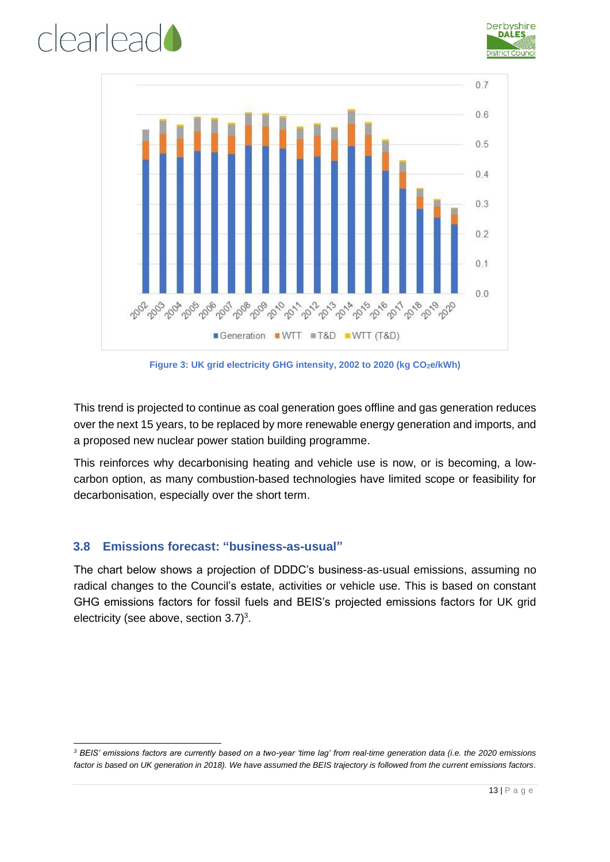





**Figure 3: UK grid electricity GHG intensity, 2002 to 2020 (kg CO2e/kWh)** 

This trend is projected to continue as coal generation goes offline and gas generation reduces over the next 15 years, to be replaced by more renewable energy generation and imports, and a proposed new nuclear power station building programme.

This reinforces why decarbonising heating and vehicle use is now, or is becoming, a lowcarbon option, as many combustion-based technologies have limited scope or feasibility for decarbonisation, especially over the short term.

#### <span id="page-12-0"></span>**3.8 Emissions forecast: "business-as-usual"**

The chart below shows a projection of DDDC's business-as-usual emissions, assuming no radical changes to the Council's estate, activities or vehicle use. This is based on constant GHG emissions factors for fossil fuels and BEIS's projected emissions factors for UK grid electricity (see above, section  $3.7$ )<sup>3</sup>.

*<sup>3</sup> BEIS' emissions factors are currently based on a two-year 'time lag' from real-time generation data (i.e. the 2020 emissions factor is based on UK generation in 2018). We have assumed the BEIS trajectory is followed from the current emissions factors.*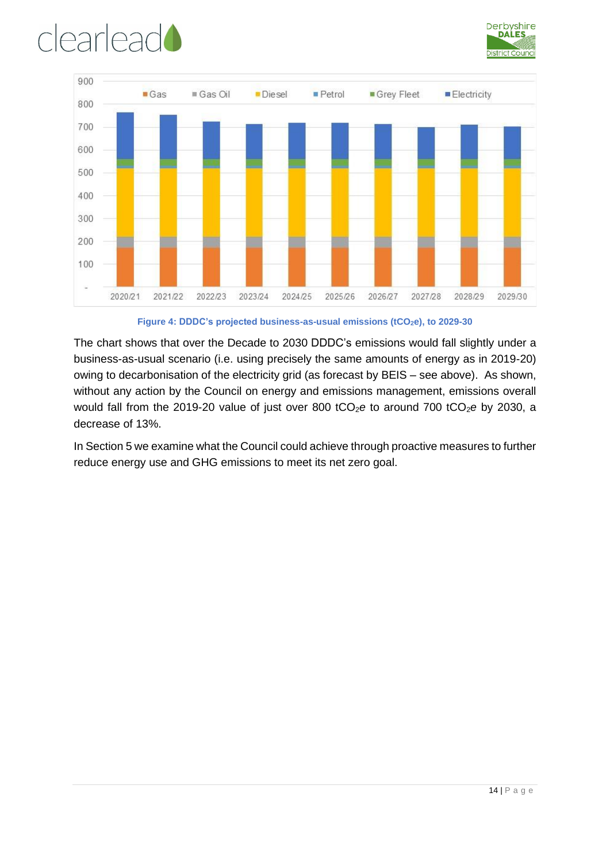![](_page_13_Picture_0.jpeg)

![](_page_13_Picture_1.jpeg)

![](_page_13_Figure_2.jpeg)

**Figure 4: DDDC's projected business-as-usual emissions (tCO2e), to 2029-30** 

The chart shows that over the Decade to 2030 DDDC's emissions would fall slightly under a business-as-usual scenario (i.e. using precisely the same amounts of energy as in 2019-20) owing to decarbonisation of the electricity grid (as forecast by BEIS – see above). As shown, without any action by the Council on energy and emissions management, emissions overall would fall from the 2019-20 value of just over 800 tCO<sub>2</sub>e to around 700 tCO<sub>2</sub>e by 2030, a decrease of 13%.

In Sectio[n 5](#page-15-0) we examine what the Council could achieve through proactive measures to further reduce energy use and GHG emissions to meet its net zero goal.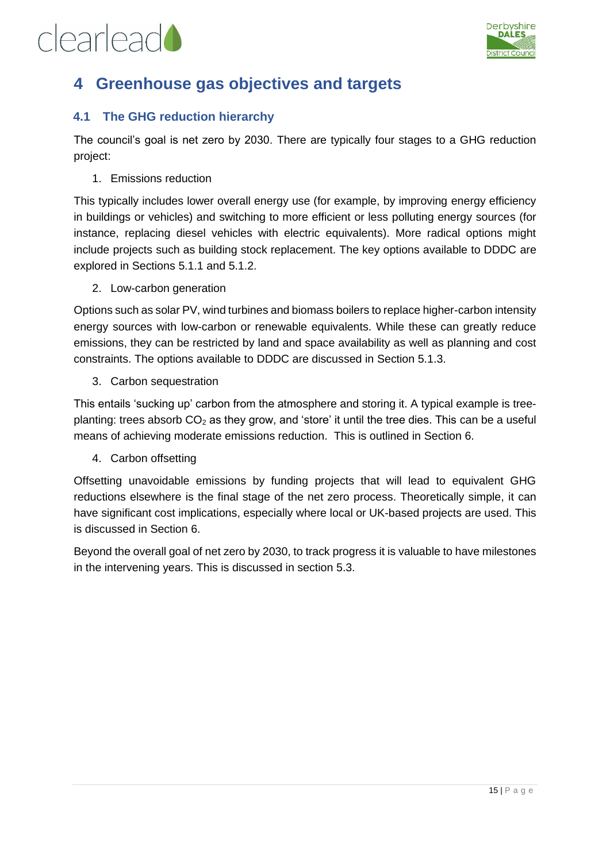![](_page_14_Picture_1.jpeg)

### <span id="page-14-0"></span>**4 Greenhouse gas objectives and targets**

#### <span id="page-14-1"></span>**4.1 The GHG reduction hierarchy**

The council's goal is net zero by 2030. There are typically four stages to a GHG reduction project:

1. Emissions reduction

This typically includes lower overall energy use (for example, by improving energy efficiency in buildings or vehicles) and switching to more efficient or less polluting energy sources (for instance, replacing diesel vehicles with electric equivalents). More radical options might include projects such as building stock replacement. The key options available to DDDC are explored in Sections [5.1.1](#page-15-2) and [5.1.2.](#page-17-0)

2. Low-carbon generation

Options such as solar PV, wind turbines and biomass boilers to replace higher-carbon intensity energy sources with low-carbon or renewable equivalents. While these can greatly reduce emissions, they can be restricted by land and space availability as well as planning and cost constraints. The options available to DDDC are discussed in Section [5.1.3.](#page-17-1)

3. Carbon sequestration

This entails 'sucking up' carbon from the atmosphere and storing it. A typical example is treeplanting: trees absorb  $CO<sub>2</sub>$  as they grow, and 'store' it until the tree dies. This can be a useful means of achieving moderate emissions reduction. This is outlined in Section [6.](#page-29-0)

4. Carbon offsetting

Offsetting unavoidable emissions by funding projects that will lead to equivalent GHG reductions elsewhere is the final stage of the net zero process. Theoretically simple, it can have significant cost implications, especially where local or UK-based projects are used. This is discussed in Section [6.](#page-29-0)

Beyond the overall goal of net zero by 2030, to track progress it is valuable to have milestones in the intervening years. This is discussed in section [5.3.](#page-24-0)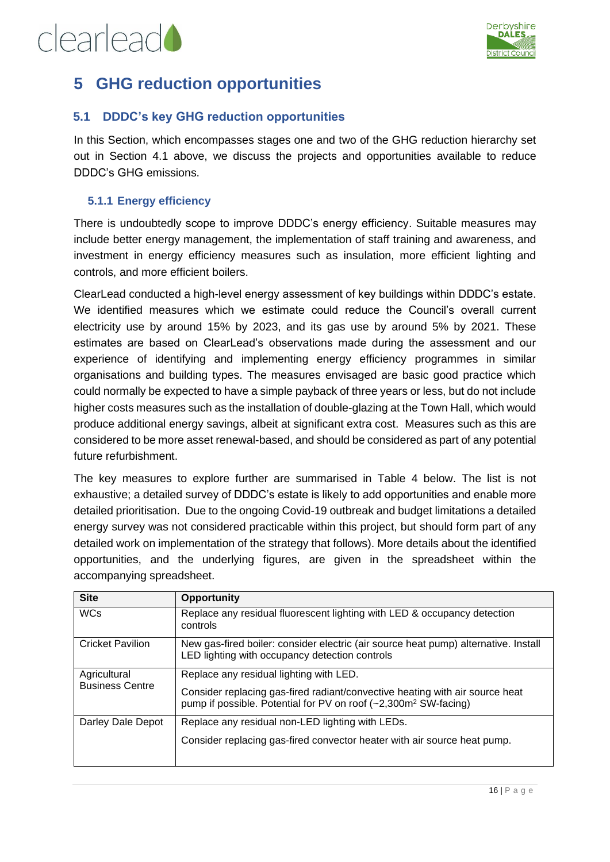![](_page_15_Picture_0.jpeg)

![](_page_15_Picture_1.jpeg)

### <span id="page-15-0"></span>**5 GHG reduction opportunities**

#### <span id="page-15-1"></span>**5.1 DDDC's key GHG reduction opportunities**

In this Section, which encompasses stages one and two of the GHG reduction hierarchy set out in Section [4.1](#page-14-1) above, we discuss the projects and opportunities available to reduce DDDC's GHG emissions.

#### <span id="page-15-2"></span>**5.1.1 Energy efficiency**

There is undoubtedly scope to improve DDDC's energy efficiency. Suitable measures may include better energy management, the implementation of staff training and awareness, and investment in energy efficiency measures such as insulation, more efficient lighting and controls, and more efficient boilers.

ClearLead conducted a high-level energy assessment of key buildings within DDDC's estate. We identified measures which we estimate could reduce the Council's overall current electricity use by around 15% by 2023, and its gas use by around 5% by 2021. These estimates are based on ClearLead's observations made during the assessment and our experience of identifying and implementing energy efficiency programmes in similar organisations and building types. The measures envisaged are basic good practice which could normally be expected to have a simple payback of three years or less, but do not include higher costs measures such as the installation of double-glazing at the Town Hall, which would produce additional energy savings, albeit at significant extra cost. Measures such as this are considered to be more asset renewal-based, and should be considered as part of any potential future refurbishment.

The key measures to explore further are summarised in Table 4 below. The list is not exhaustive; a detailed survey of DDDC's estate is likely to add opportunities and enable more detailed prioritisation. Due to the ongoing Covid-19 outbreak and budget limitations a detailed energy survey was not considered practicable within this project, but should form part of any detailed work on implementation of the strategy that follows). More details about the identified opportunities, and the underlying figures, are given in the spreadsheet within the accompanying spreadsheet.

| <b>Site</b>             | <b>Opportunity</b>                                                                                                                                          |
|-------------------------|-------------------------------------------------------------------------------------------------------------------------------------------------------------|
| <b>WCs</b>              | Replace any residual fluorescent lighting with LED & occupancy detection<br>controls                                                                        |
| <b>Cricket Pavilion</b> | New gas-fired boiler: consider electric (air source heat pump) alternative. Install<br>LED lighting with occupancy detection controls                       |
| Agricultural            | Replace any residual lighting with LED.                                                                                                                     |
| <b>Business Centre</b>  | Consider replacing gas-fired radiant/convective heating with air source heat<br>pump if possible. Potential for PV on roof (~2,300m <sup>2</sup> SW-facing) |
| Darley Dale Depot       | Replace any residual non-LED lighting with LEDs.                                                                                                            |
|                         | Consider replacing gas-fired convector heater with air source heat pump.                                                                                    |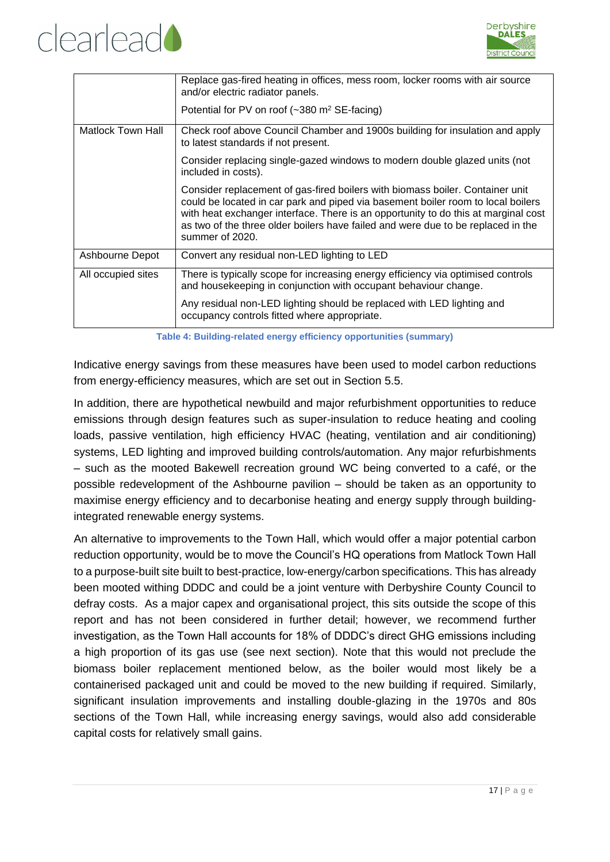![](_page_16_Picture_0.jpeg)

![](_page_16_Picture_1.jpeg)

|                    | Replace gas-fired heating in offices, mess room, locker rooms with air source<br>and/or electric radiator panels.<br>Potential for PV on roof $(-380 \text{ m}^2 \text{ SE-facing})$                                                                                                                                                                           |
|--------------------|----------------------------------------------------------------------------------------------------------------------------------------------------------------------------------------------------------------------------------------------------------------------------------------------------------------------------------------------------------------|
| Matlock Town Hall  | Check roof above Council Chamber and 1900s building for insulation and apply<br>to latest standards if not present.                                                                                                                                                                                                                                            |
|                    | Consider replacing single-gazed windows to modern double glazed units (not<br>included in costs).                                                                                                                                                                                                                                                              |
|                    | Consider replacement of gas-fired boilers with biomass boiler. Container unit<br>could be located in car park and piped via basement boiler room to local boilers<br>with heat exchanger interface. There is an opportunity to do this at marginal cost<br>as two of the three older boilers have failed and were due to be replaced in the<br>summer of 2020. |
| Ashbourne Depot    | Convert any residual non-LED lighting to LED                                                                                                                                                                                                                                                                                                                   |
| All occupied sites | There is typically scope for increasing energy efficiency via optimised controls<br>and housekeeping in conjunction with occupant behaviour change.                                                                                                                                                                                                            |
|                    | Any residual non-LED lighting should be replaced with LED lighting and<br>occupancy controls fitted where appropriate.                                                                                                                                                                                                                                         |

**Table 4: Building-related energy efficiency opportunities (summary)**

Indicative energy savings from these measures have been used to model carbon reductions from energy-efficiency measures, which are set out in Section [5.5.](#page-26-0)

In addition, there are hypothetical newbuild and major refurbishment opportunities to reduce emissions through design features such as super-insulation to reduce heating and cooling loads, passive ventilation, high efficiency HVAC (heating, ventilation and air conditioning) systems, LED lighting and improved building controls/automation. Any major refurbishments – such as the mooted Bakewell recreation ground WC being converted to a café, or the possible redevelopment of the Ashbourne pavilion – should be taken as an opportunity to maximise energy efficiency and to decarbonise heating and energy supply through buildingintegrated renewable energy systems.

An alternative to improvements to the Town Hall, which would offer a major potential carbon reduction opportunity, would be to move the Council's HQ operations from Matlock Town Hall to a purpose-built site built to best-practice, low-energy/carbon specifications. This has already been mooted withing DDDC and could be a joint venture with Derbyshire County Council to defray costs. As a major capex and organisational project, this sits outside the scope of this report and has not been considered in further detail; however, we recommend further investigation, as the Town Hall accounts for 18% of DDDC's direct GHG emissions including a high proportion of its gas use (see next section). Note that this would not preclude the biomass boiler replacement mentioned below, as the boiler would most likely be a containerised packaged unit and could be moved to the new building if required. Similarly, significant insulation improvements and installing double-glazing in the 1970s and 80s sections of the Town Hall, while increasing energy savings, would also add considerable capital costs for relatively small gains.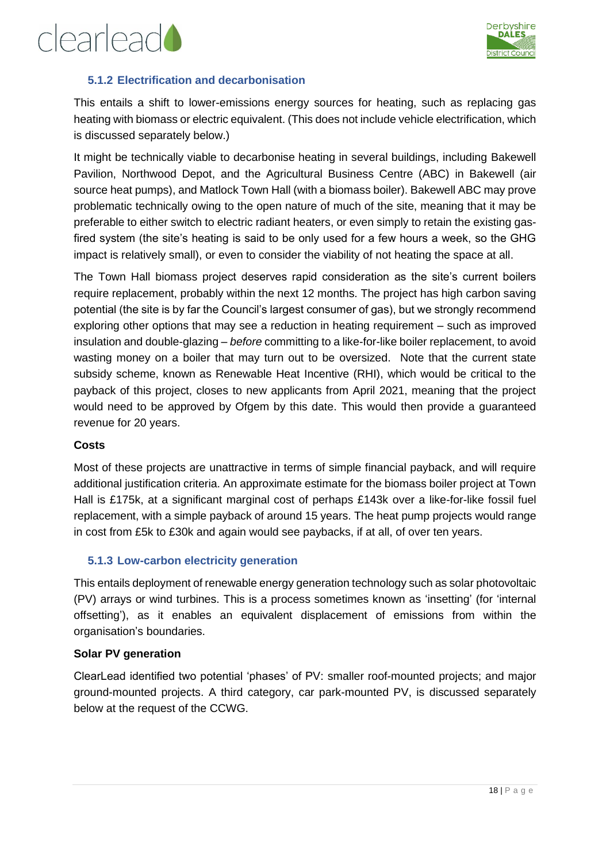![](_page_17_Picture_1.jpeg)

#### <span id="page-17-0"></span>**5.1.2 Electrification and decarbonisation**

This entails a shift to lower-emissions energy sources for heating, such as replacing gas heating with biomass or electric equivalent. (This does not include vehicle electrification, which is discussed separately below.)

It might be technically viable to decarbonise heating in several buildings, including Bakewell Pavilion, Northwood Depot, and the Agricultural Business Centre (ABC) in Bakewell (air source heat pumps), and Matlock Town Hall (with a biomass boiler). Bakewell ABC may prove problematic technically owing to the open nature of much of the site, meaning that it may be preferable to either switch to electric radiant heaters, or even simply to retain the existing gasfired system (the site's heating is said to be only used for a few hours a week, so the GHG impact is relatively small), or even to consider the viability of not heating the space at all.

The Town Hall biomass project deserves rapid consideration as the site's current boilers require replacement, probably within the next 12 months. The project has high carbon saving potential (the site is by far the Council's largest consumer of gas), but we strongly recommend exploring other options that may see a reduction in heating requirement – such as improved insulation and double-glazing – *before* committing to a like-for-like boiler replacement, to avoid wasting money on a boiler that may turn out to be oversized. Note that the current state subsidy scheme, known as Renewable Heat Incentive (RHI), which would be critical to the payback of this project, closes to new applicants from April 2021, meaning that the project would need to be approved by Ofgem by this date. This would then provide a guaranteed revenue for 20 years.

#### **Costs**

Most of these projects are unattractive in terms of simple financial payback, and will require additional justification criteria. An approximate estimate for the biomass boiler project at Town Hall is £175k, at a significant marginal cost of perhaps £143k over a like-for-like fossil fuel replacement, with a simple payback of around 15 years. The heat pump projects would range in cost from £5k to £30k and again would see paybacks, if at all, of over ten years.

#### <span id="page-17-1"></span>**5.1.3 Low-carbon electricity generation**

This entails deployment of renewable energy generation technology such as solar photovoltaic (PV) arrays or wind turbines. This is a process sometimes known as 'insetting' (for 'internal offsetting'), as it enables an equivalent displacement of emissions from within the organisation's boundaries.

#### **Solar PV generation**

ClearLead identified two potential 'phases' of PV: smaller roof-mounted projects; and major ground-mounted projects. A third category, car park-mounted PV, is discussed separately below at the request of the CCWG.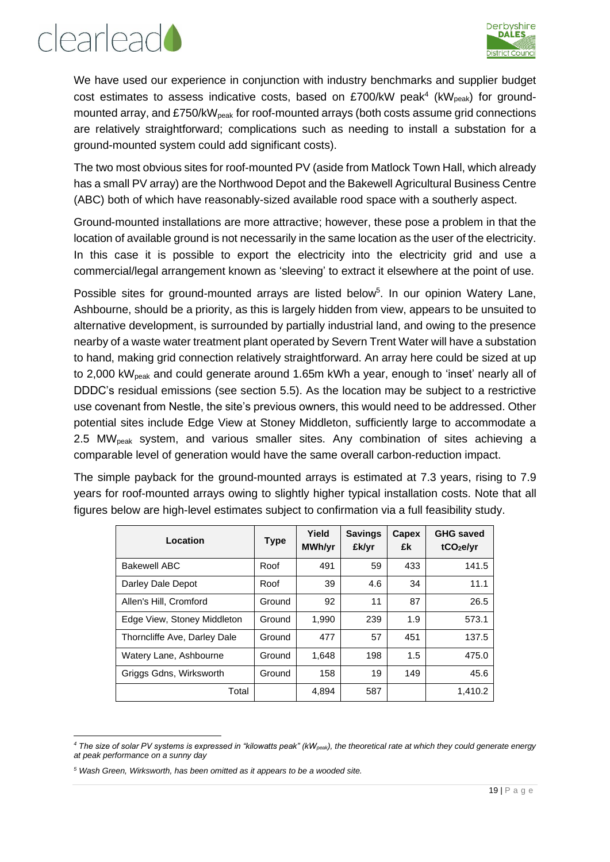![](_page_18_Picture_1.jpeg)

We have used our experience in conjunction with industry benchmarks and supplier budget cost estimates to assess indicative costs, based on £700/kW peak<sup>4</sup> (kW<sub>peak</sub>) for groundmounted array, and £750/kW<sub>peak</sub> for roof-mounted arrays (both costs assume grid connections are relatively straightforward; complications such as needing to install a substation for a ground-mounted system could add significant costs).

The two most obvious sites for roof-mounted PV (aside from Matlock Town Hall, which already has a small PV array) are the Northwood Depot and the Bakewell Agricultural Business Centre (ABC) both of which have reasonably-sized available rood space with a southerly aspect.

Ground-mounted installations are more attractive; however, these pose a problem in that the location of available ground is not necessarily in the same location as the user of the electricity. In this case it is possible to export the electricity into the electricity grid and use a commercial/legal arrangement known as 'sleeving' to extract it elsewhere at the point of use.

Possible sites for ground-mounted arrays are listed below<sup>5</sup>. In our opinion Watery Lane, Ashbourne, should be a priority, as this is largely hidden from view, appears to be unsuited to alternative development, is surrounded by partially industrial land, and owing to the presence nearby of a waste water treatment plant operated by Severn Trent Water will have a substation to hand, making grid connection relatively straightforward. An array here could be sized at up to 2,000 kW<sub>peak</sub> and could generate around 1.65m kWh a year, enough to 'inset' nearly all of DDDC's residual emissions (see section [5.5\)](#page-26-0). As the location may be subject to a restrictive use covenant from Nestle, the site's previous owners, this would need to be addressed. Other potential sites include Edge View at Stoney Middleton, sufficiently large to accommodate a 2.5 MWpeak system, and various smaller sites. Any combination of sites achieving a comparable level of generation would have the same overall carbon-reduction impact.

The simple payback for the ground-mounted arrays is estimated at 7.3 years, rising to 7.9 years for roof-mounted arrays owing to slightly higher typical installation costs. Note that all figures below are high-level estimates subject to confirmation via a full feasibility study.

| Location                     | <b>Type</b> | Yield<br>MWh/yr | <b>Savings</b><br>£k/yr | Capex<br>£k | <b>GHG saved</b><br>tCO <sub>2</sub> e/yr |
|------------------------------|-------------|-----------------|-------------------------|-------------|-------------------------------------------|
| <b>Bakewell ABC</b>          | Roof        | 491             | 59                      | 433         | 141.5                                     |
| Darley Dale Depot            | Roof        | 39              | 4.6                     | 34          | 11.1                                      |
| Allen's Hill, Cromford       | Ground      | 92              | 11                      | 87          | 26.5                                      |
| Edge View, Stoney Middleton  | Ground      | 1,990           | 239                     | 1.9         | 573.1                                     |
| Thorncliffe Ave, Darley Dale | Ground      | 477             | 57                      | 451         | 137.5                                     |
| Watery Lane, Ashbourne       | Ground      | 1,648           | 198                     | 1.5         | 475.0                                     |
| Griggs Gdns, Wirksworth      | Ground      | 158             | 19                      | 149         | 45.6                                      |
| Total                        |             | 4,894           | 587                     |             | 1,410.2                                   |

*<sup>4</sup> The size of solar PV systems is expressed in "kilowatts peak" (kWpeak), the theoretical rate at which they could generate energy at peak performance on a sunny day*

*<sup>5</sup> Wash Green, Wirksworth, has been omitted as it appears to be a wooded site.*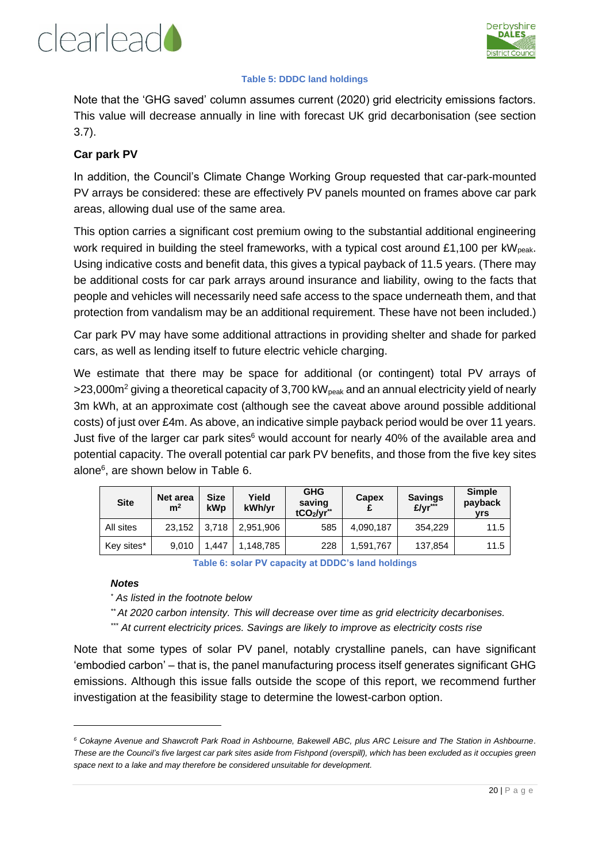![](_page_19_Picture_0.jpeg)

![](_page_19_Picture_1.jpeg)

#### **Table 5: DDDC land holdings**

Note that the 'GHG saved' column assumes current (2020) grid electricity emissions factors. This value will decrease annually in line with forecast UK grid decarbonisation (see section [3.7\)](#page-11-1).

#### **Car park PV**

In addition, the Council's Climate Change Working Group requested that car-park-mounted PV arrays be considered: these are effectively PV panels mounted on frames above car park areas, allowing dual use of the same area.

This option carries a significant cost premium owing to the substantial additional engineering work required in building the steel frameworks, with a typical cost around £1,100 per  $kW<sub>peak</sub>$ . Using indicative costs and benefit data, this gives a typical payback of 11.5 years. (There may be additional costs for car park arrays around insurance and liability, owing to the facts that people and vehicles will necessarily need safe access to the space underneath them, and that protection from vandalism may be an additional requirement. These have not been included.)

Car park PV may have some additional attractions in providing shelter and shade for parked cars, as well as lending itself to future electric vehicle charging.

We estimate that there may be space for additional (or contingent) total PV arrays of  $>$ 23,000m<sup>2</sup> giving a theoretical capacity of 3,700 kW<sub>peak</sub> and an annual electricity yield of nearly 3m kWh, at an approximate cost (although see the caveat above around possible additional costs) of just over £4m. As above, an indicative simple payback period would be over 11 years. Just five of the larger car park sites<sup>6</sup> would account for nearly 40% of the available area and potential capacity. The overall potential car park PV benefits, and those from the five key sites alone<sup>6</sup> , are shown below in Table 6.

| <b>Site</b> | Net area<br>m <sup>2</sup> | <b>Size</b><br>kWp | Yield<br>kWh/yr | <b>GHG</b><br>saving<br>tCO <sub>2</sub> /yr <sup>**</sup> | Capex     | <b>Savings</b><br>£/yr*** | <b>Simple</b><br>payback<br>vrs |
|-------------|----------------------------|--------------------|-----------------|------------------------------------------------------------|-----------|---------------------------|---------------------------------|
| All sites   | 23,152                     | 3.718              | 2.951.906       | 585                                                        | 4,090,187 | 354.229                   | 11.5                            |
| Key sites*  | 9.010                      | .447               | 1,148,785       | 228                                                        | 1,591,767 | 137,854                   | 11.5                            |

**Table 6: solar PV capacity at DDDC's land holdings**

#### *Notes*

*\* As listed in the footnote below*

*\*\* At 2020 carbon intensity. This will decrease over time as grid electricity decarbonises. \*\*\* At current electricity prices. Savings are likely to improve as electricity costs rise* 

Note that some types of solar PV panel, notably crystalline panels, can have significant 'embodied carbon' – that is, the panel manufacturing process itself generates significant GHG emissions. Although this issue falls outside the scope of this report, we recommend further investigation at the feasibility stage to determine the lowest-carbon option.

*<sup>6</sup> Cokayne Avenue and Shawcroft Park Road in Ashbourne, Bakewell ABC, plus ARC Leisure and The Station in Ashbourne. These are the Council's five largest car park sites aside from Fishpond (overspill), which has been excluded as it occupies green space next to a lake and may therefore be considered unsuitable for development.*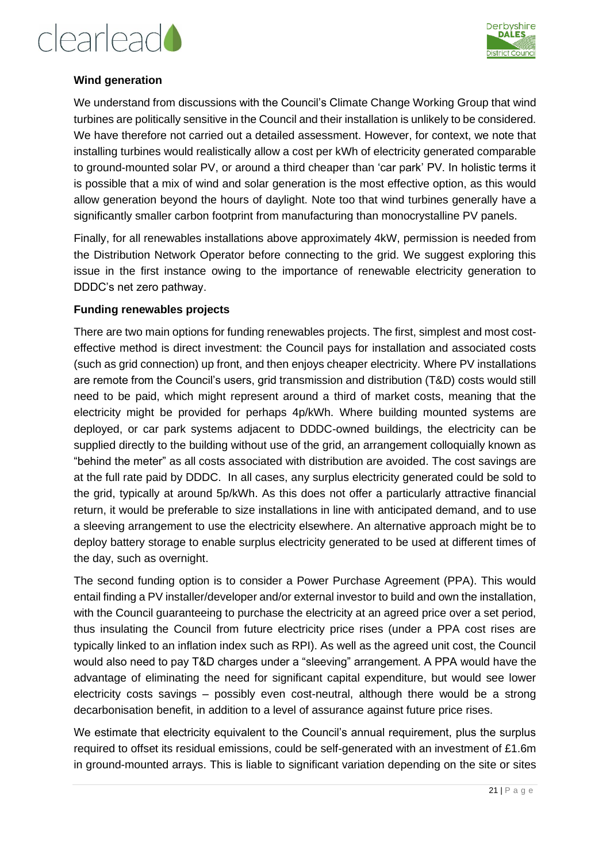![](_page_20_Picture_0.jpeg)

![](_page_20_Picture_1.jpeg)

#### **Wind generation**

We understand from discussions with the Council's Climate Change Working Group that wind turbines are politically sensitive in the Council and their installation is unlikely to be considered. We have therefore not carried out a detailed assessment. However, for context, we note that installing turbines would realistically allow a cost per kWh of electricity generated comparable to ground-mounted solar PV, or around a third cheaper than 'car park' PV. In holistic terms it is possible that a mix of wind and solar generation is the most effective option, as this would allow generation beyond the hours of daylight. Note too that wind turbines generally have a significantly smaller carbon footprint from manufacturing than monocrystalline PV panels.

Finally, for all renewables installations above approximately 4kW, permission is needed from the Distribution Network Operator before connecting to the grid. We suggest exploring this issue in the first instance owing to the importance of renewable electricity generation to DDDC's net zero pathway.

#### **Funding renewables projects**

There are two main options for funding renewables projects. The first, simplest and most costeffective method is direct investment: the Council pays for installation and associated costs (such as grid connection) up front, and then enjoys cheaper electricity. Where PV installations are remote from the Council's users, grid transmission and distribution (T&D) costs would still need to be paid, which might represent around a third of market costs, meaning that the electricity might be provided for perhaps 4p/kWh. Where building mounted systems are deployed, or car park systems adjacent to DDDC-owned buildings, the electricity can be supplied directly to the building without use of the grid, an arrangement colloquially known as "behind the meter" as all costs associated with distribution are avoided. The cost savings are at the full rate paid by DDDC. In all cases, any surplus electricity generated could be sold to the grid, typically at around 5p/kWh. As this does not offer a particularly attractive financial return, it would be preferable to size installations in line with anticipated demand, and to use a sleeving arrangement to use the electricity elsewhere. An alternative approach might be to deploy battery storage to enable surplus electricity generated to be used at different times of the day, such as overnight.

The second funding option is to consider a Power Purchase Agreement (PPA). This would entail finding a PV installer/developer and/or external investor to build and own the installation, with the Council guaranteeing to purchase the electricity at an agreed price over a set period, thus insulating the Council from future electricity price rises (under a PPA cost rises are typically linked to an inflation index such as RPI). As well as the agreed unit cost, the Council would also need to pay T&D charges under a "sleeving" arrangement. A PPA would have the advantage of eliminating the need for significant capital expenditure, but would see lower electricity costs savings – possibly even cost-neutral, although there would be a strong decarbonisation benefit, in addition to a level of assurance against future price rises.

We estimate that electricity equivalent to the Council's annual requirement, plus the surplus required to offset its residual emissions, could be self-generated with an investment of £1.6m in ground-mounted arrays. This is liable to significant variation depending on the site or sites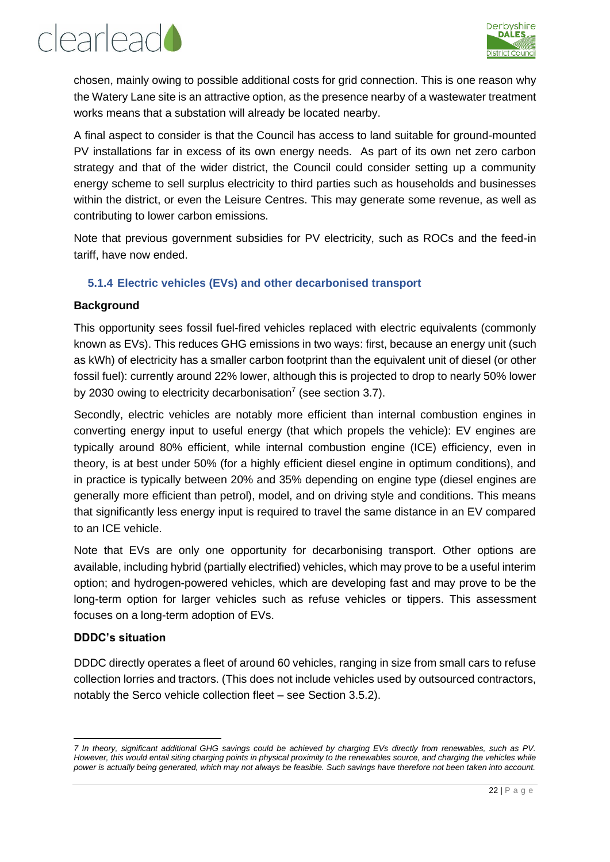![](_page_21_Picture_0.jpeg)

![](_page_21_Picture_1.jpeg)

chosen, mainly owing to possible additional costs for grid connection. This is one reason why the Watery Lane site is an attractive option, as the presence nearby of a wastewater treatment works means that a substation will already be located nearby.

A final aspect to consider is that the Council has access to land suitable for ground-mounted PV installations far in excess of its own energy needs. As part of its own net zero carbon strategy and that of the wider district, the Council could consider setting up a community energy scheme to sell surplus electricity to third parties such as households and businesses within the district, or even the Leisure Centres. This may generate some revenue, as well as contributing to lower carbon emissions.

Note that previous government subsidies for PV electricity, such as ROCs and the feed-in tariff, have now ended.

#### <span id="page-21-0"></span>**5.1.4 Electric vehicles (EVs) and other decarbonised transport**

#### **Background**

This opportunity sees fossil fuel-fired vehicles replaced with electric equivalents (commonly known as EVs). This reduces GHG emissions in two ways: first, because an energy unit (such as kWh) of electricity has a smaller carbon footprint than the equivalent unit of diesel (or other fossil fuel): currently around 22% lower, although this is projected to drop to nearly 50% lower by 2030 owing to electricity decarbonisation<sup>7</sup> (see section [3.7\)](#page-11-1).

Secondly, electric vehicles are notably more efficient than internal combustion engines in converting energy input to useful energy (that which propels the vehicle): EV engines are typically around 80% efficient, while internal combustion engine (ICE) efficiency, even in theory, is at best under 50% (for a highly efficient diesel engine in optimum conditions), and in practice is typically between 20% and 35% depending on engine type (diesel engines are generally more efficient than petrol), model, and on driving style and conditions. This means that significantly less energy input is required to travel the same distance in an EV compared to an ICE vehicle.

Note that EVs are only one opportunity for decarbonising transport. Other options are available, including hybrid (partially electrified) vehicles, which may prove to be a useful interim option; and hydrogen-powered vehicles, which are developing fast and may prove to be the long-term option for larger vehicles such as refuse vehicles or tippers. This assessment focuses on a long-term adoption of EVs.

#### **DDDC's situation**

DDDC directly operates a fleet of around 60 vehicles, ranging in size from small cars to refuse collection lorries and tractors. (This does not include vehicles used by outsourced contractors, notably the Serco vehicle collection fleet – see Section [3.5.2\)](#page-10-2).

*<sup>7</sup> In theory, significant additional GHG savings could be achieved by charging EVs directly from renewables, such as PV.*  However, this would entail siting charging points in physical proximity to the renewables source, and charging the vehicles while *power is actually being generated, which may not always be feasible. Such savings have therefore not been taken into account.*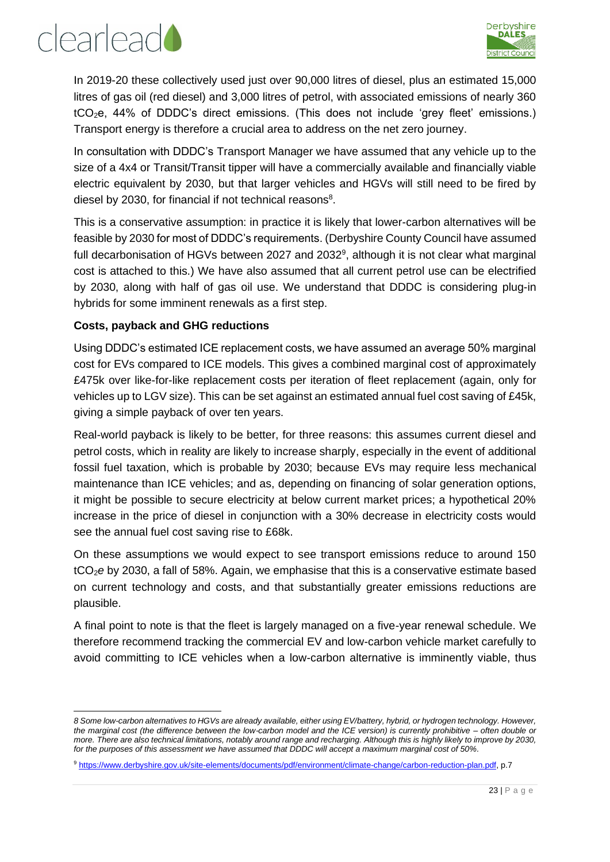![](_page_22_Picture_1.jpeg)

In 2019-20 these collectively used just over 90,000 litres of diesel, plus an estimated 15,000 litres of gas oil (red diesel) and 3,000 litres of petrol, with associated emissions of nearly 360 tCO2e, 44% of DDDC's direct emissions. (This does not include 'grey fleet' emissions.) Transport energy is therefore a crucial area to address on the net zero journey.

In consultation with DDDC's Transport Manager we have assumed that any vehicle up to the size of a 4x4 or Transit/Transit tipper will have a commercially available and financially viable electric equivalent by 2030, but that larger vehicles and HGVs will still need to be fired by diesel by 2030, for financial if not technical reasons<sup>8</sup>.

This is a conservative assumption: in practice it is likely that lower-carbon alternatives will be feasible by 2030 for most of DDDC's requirements. (Derbyshire County Council have assumed full decarbonisation of HGVs between 2027 and 2032 $9$ , although it is not clear what marginal cost is attached to this.) We have also assumed that all current petrol use can be electrified by 2030, along with half of gas oil use. We understand that DDDC is considering plug-in hybrids for some imminent renewals as a first step.

#### **Costs, payback and GHG reductions**

Using DDDC's estimated ICE replacement costs, we have assumed an average 50% marginal cost for EVs compared to ICE models. This gives a combined marginal cost of approximately £475k over like-for-like replacement costs per iteration of fleet replacement (again, only for vehicles up to LGV size). This can be set against an estimated annual fuel cost saving of £45k, giving a simple payback of over ten years.

Real-world payback is likely to be better, for three reasons: this assumes current diesel and petrol costs, which in reality are likely to increase sharply, especially in the event of additional fossil fuel taxation, which is probable by 2030; because EVs may require less mechanical maintenance than ICE vehicles; and as, depending on financing of solar generation options, it might be possible to secure electricity at below current market prices; a hypothetical 20% increase in the price of diesel in conjunction with a 30% decrease in electricity costs would see the annual fuel cost saving rise to £68k.

On these assumptions we would expect to see transport emissions reduce to around 150 tCO2*e* by 2030, a fall of 58%. Again, we emphasise that this is a conservative estimate based on current technology and costs, and that substantially greater emissions reductions are plausible.

A final point to note is that the fleet is largely managed on a five-year renewal schedule. We therefore recommend tracking the commercial EV and low-carbon vehicle market carefully to avoid committing to ICE vehicles when a low-carbon alternative is imminently viable, thus

*<sup>8</sup> Some low-carbon alternatives to HGVs are already available, either using EV/battery, hybrid, or hydrogen technology. However, the marginal cost (the difference between the low-carbon model and the ICE version) is currently prohibitive – often double or more. There are also technical limitations, notably around range and recharging. Although this is highly likely to improve by 2030, for the purposes of this assessment we have assumed that DDDC will accept a maximum marginal cost of 50%.*

<sup>9</sup> [https://www.derbyshire.gov.uk/site-elements/documents/pdf/environment/climate-change/carbon-reduction-plan.pdf,](https://www.derbyshire.gov.uk/site-elements/documents/pdf/environment/climate-change/carbon-reduction-plan.pdf) p.7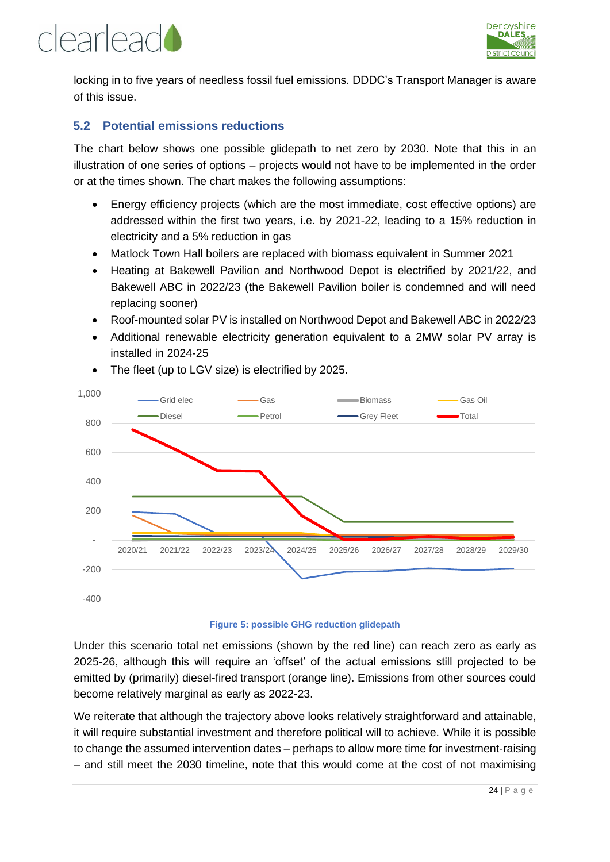## clearlead

![](_page_23_Picture_1.jpeg)

locking in to five years of needless fossil fuel emissions. DDDC's Transport Manager is aware of this issue.

#### <span id="page-23-0"></span>**5.2 Potential emissions reductions**

The chart below shows one possible glidepath to net zero by 2030. Note that this in an illustration of one series of options – projects would not have to be implemented in the order or at the times shown. The chart makes the following assumptions:

- Energy efficiency projects (which are the most immediate, cost effective options) are addressed within the first two years, i.e. by 2021-22, leading to a 15% reduction in electricity and a 5% reduction in gas
- Matlock Town Hall boilers are replaced with biomass equivalent in Summer 2021
- Heating at Bakewell Pavilion and Northwood Depot is electrified by 2021/22, and Bakewell ABC in 2022/23 (the Bakewell Pavilion boiler is condemned and will need replacing sooner)
- Roof-mounted solar PV is installed on Northwood Depot and Bakewell ABC in 2022/23
- Additional renewable electricity generation equivalent to a 2MW solar PV array is installed in 2024-25

![](_page_23_Figure_10.jpeg)

• The fleet (up to LGV size) is electrified by 2025.

#### **Figure 5: possible GHG reduction glidepath**

Under this scenario total net emissions (shown by the red line) can reach zero as early as 2025-26, although this will require an 'offset' of the actual emissions still projected to be emitted by (primarily) diesel-fired transport (orange line). Emissions from other sources could become relatively marginal as early as 2022-23.

We reiterate that although the trajectory above looks relatively straightforward and attainable, it will require substantial investment and therefore political will to achieve. While it is possible to change the assumed intervention dates – perhaps to allow more time for investment-raising – and still meet the 2030 timeline, note that this would come at the cost of not maximising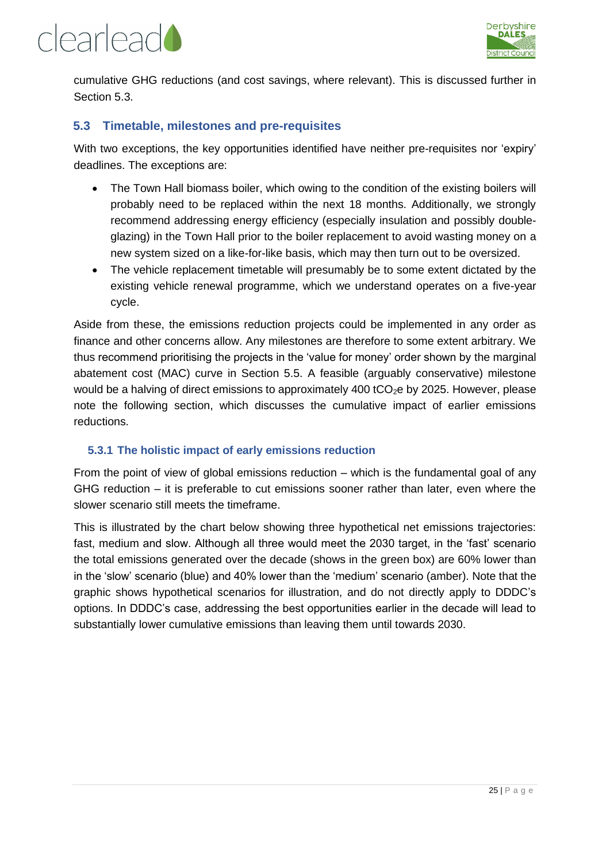![](_page_24_Picture_0.jpeg)

![](_page_24_Picture_1.jpeg)

cumulative GHG reductions (and cost savings, where relevant). This is discussed further in Section 5.3.

#### <span id="page-24-0"></span>**5.3 Timetable, milestones and pre-requisites**

With two exceptions, the key opportunities identified have neither pre-requisites nor 'expiry' deadlines. The exceptions are:

- The Town Hall biomass boiler, which owing to the condition of the existing boilers will probably need to be replaced within the next 18 months. Additionally, we strongly recommend addressing energy efficiency (especially insulation and possibly doubleglazing) in the Town Hall prior to the boiler replacement to avoid wasting money on a new system sized on a like-for-like basis, which may then turn out to be oversized.
- The vehicle replacement timetable will presumably be to some extent dictated by the existing vehicle renewal programme, which we understand operates on a five-year cycle.

Aside from these, the emissions reduction projects could be implemented in any order as finance and other concerns allow. Any milestones are therefore to some extent arbitrary. We thus recommend prioritising the projects in the 'value for money' order shown by the marginal abatement cost (MAC) curve in Section [5.5.](#page-26-0) A feasible (arguably conservative) milestone would be a halving of direct emissions to approximately 400 tCO<sub>2</sub>e by 2025. However, please note the following section, which discusses the cumulative impact of earlier emissions reductions.

#### <span id="page-24-1"></span>**5.3.1 The holistic impact of early emissions reduction**

From the point of view of global emissions reduction – which is the fundamental goal of any GHG reduction – it is preferable to cut emissions sooner rather than later, even where the slower scenario still meets the timeframe.

This is illustrated by the chart below showing three hypothetical net emissions trajectories: fast, medium and slow. Although all three would meet the 2030 target, in the 'fast' scenario the total emissions generated over the decade (shows in the green box) are 60% lower than in the 'slow' scenario (blue) and 40% lower than the 'medium' scenario (amber). Note that the graphic shows hypothetical scenarios for illustration, and do not directly apply to DDDC's options. In DDDC's case, addressing the best opportunities earlier in the decade will lead to substantially lower cumulative emissions than leaving them until towards 2030.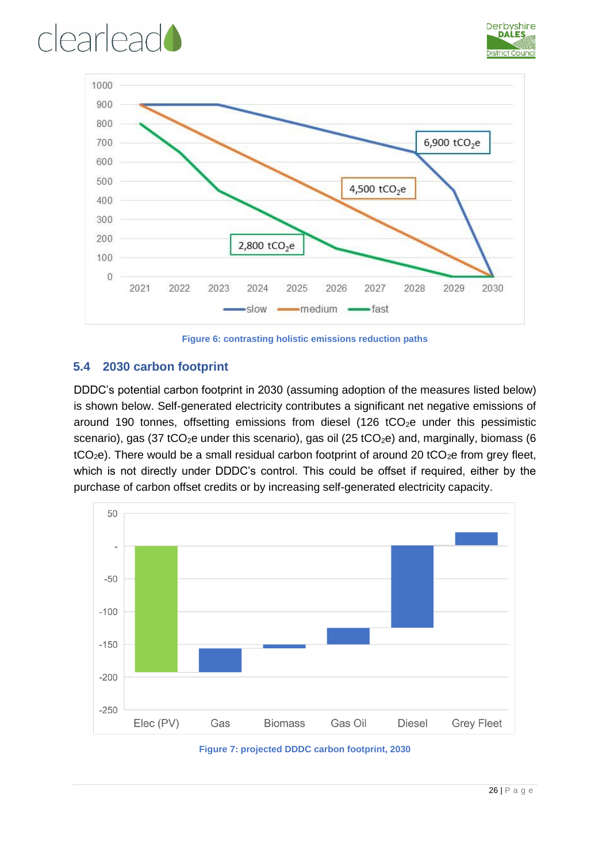## clearlead

![](_page_25_Picture_1.jpeg)

![](_page_25_Figure_2.jpeg)

**Figure 6: contrasting holistic emissions reduction paths**

#### <span id="page-25-0"></span>**5.4 2030 carbon footprint**

DDDC's potential carbon footprint in 2030 (assuming adoption of the measures listed below) is shown below. Self-generated electricity contributes a significant net negative emissions of around 190 tonnes, offsetting emissions from diesel (126  $tCO<sub>2</sub>e$  under this pessimistic scenario), gas (37 tCO<sub>2</sub>e under this scenario), gas oil (25 tCO<sub>2</sub>e) and, marginally, biomass (6  $tCO<sub>2</sub>e$ ). There would be a small residual carbon footprint of around 20  $tCO<sub>2</sub>e$  from grey fleet, which is not directly under DDDC's control. This could be offset if required, either by the purchase of carbon offset credits or by increasing self-generated electricity capacity.

![](_page_25_Figure_6.jpeg)

![](_page_25_Figure_7.jpeg)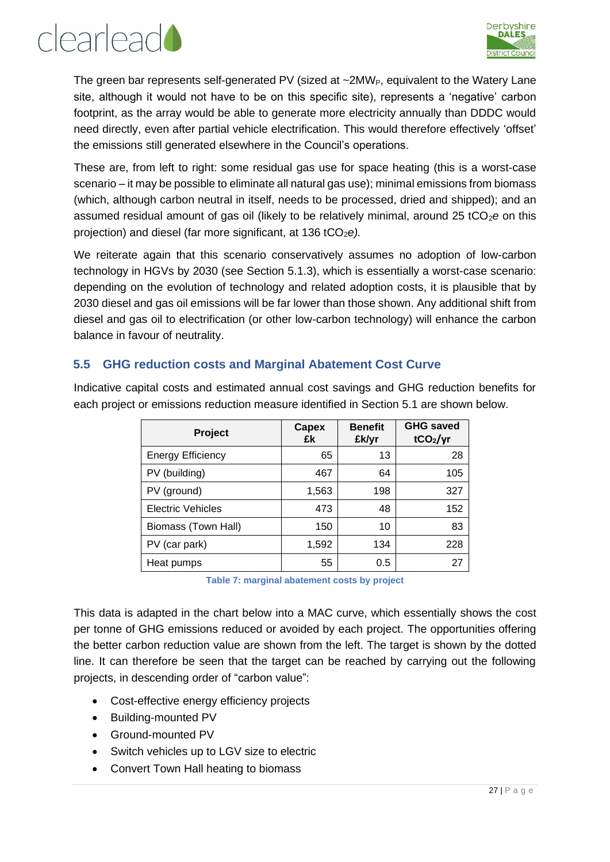![](_page_26_Picture_0.jpeg)

![](_page_26_Picture_1.jpeg)

The green bar represents self-generated PV (sized at  $\sim$ 2MW<sub>P</sub>, equivalent to the Watery Lane site, although it would not have to be on this specific site), represents a 'negative' carbon footprint, as the array would be able to generate more electricity annually than DDDC would need directly, even after partial vehicle electrification. This would therefore effectively 'offset' the emissions still generated elsewhere in the Council's operations.

These are, from left to right: some residual gas use for space heating (this is a worst-case scenario – it may be possible to eliminate all natural gas use); minimal emissions from biomass (which, although carbon neutral in itself, needs to be processed, dried and shipped); and an assumed residual amount of gas oil (likely to be relatively minimal, around 25 tCO<sub>2</sub>e on this projection) and diesel (far more significant, at 136 tCO<sub>2</sub>e).

We reiterate again that this scenario conservatively assumes no adoption of low-carbon technology in HGVs by 2030 (see Section [5.1.3\)](#page-17-1), which is essentially a worst-case scenario: depending on the evolution of technology and related adoption costs, it is plausible that by 2030 diesel and gas oil emissions will be far lower than those shown. Any additional shift from diesel and gas oil to electrification (or other low-carbon technology) will enhance the carbon balance in favour of neutrality.

#### <span id="page-26-0"></span>**5.5 GHG reduction costs and Marginal Abatement Cost Curve**

Indicative capital costs and estimated annual cost savings and GHG reduction benefits for each project or emissions reduction measure identified in Section [5.1](#page-15-1) are shown below.

| Project                  | Capex<br>£k | <b>Benefit</b><br>£k/yr | <b>GHG saved</b><br>tCO <sub>2</sub> /yr |
|--------------------------|-------------|-------------------------|------------------------------------------|
| <b>Energy Efficiency</b> | 65          | 13                      | 28                                       |
| PV (building)            | 467         | 64                      | 105                                      |
| PV (ground)              | 1,563       | 198                     | 327                                      |
| <b>Electric Vehicles</b> | 473         | 48                      | 152                                      |
| Biomass (Town Hall)      | 150         | 10                      | 83                                       |
| PV (car park)            | 1,592       | 134                     | 228                                      |
| Heat pumps               | 55          | 0.5                     | 27                                       |

**Table 7: marginal abatement costs by project**

<span id="page-26-1"></span>This data is adapted in the chart below into a MAC curve, which essentially shows the cost per tonne of GHG emissions reduced or avoided by each project. The opportunities offering the better carbon reduction value are shown from the left. The target is shown by the dotted line. It can therefore be seen that the target can be reached by carrying out the following projects, in descending order of "carbon value":

- Cost-effective energy efficiency projects
- Building-mounted PV
- Ground-mounted PV
- Switch vehicles up to LGV size to electric
- Convert Town Hall heating to biomass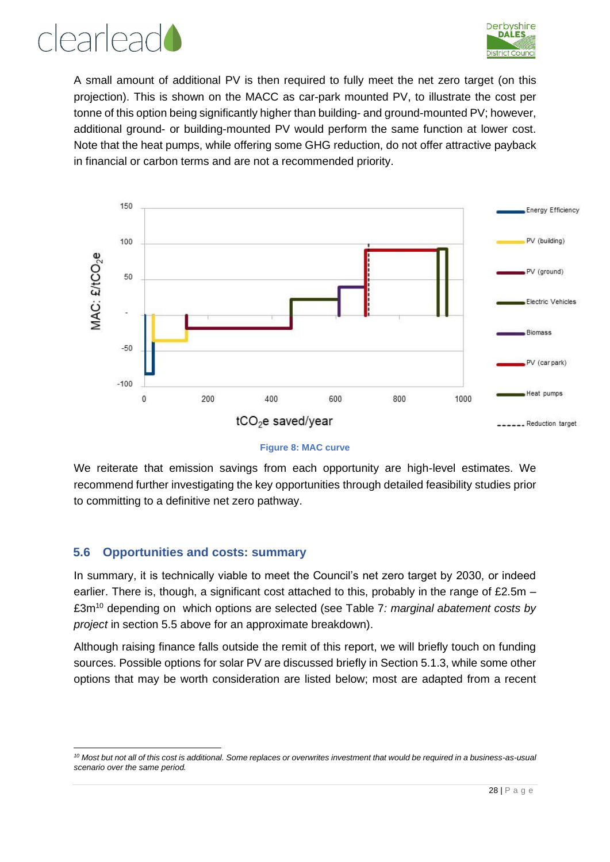![](_page_27_Picture_0.jpeg)

![](_page_27_Picture_1.jpeg)

A small amount of additional PV is then required to fully meet the net zero target (on this projection). This is shown on the MACC as car-park mounted PV, to illustrate the cost per tonne of this option being significantly higher than building- and ground-mounted PV; however, additional ground- or building-mounted PV would perform the same function at lower cost. Note that the heat pumps, while offering some GHG reduction, do not offer attractive payback in financial or carbon terms and are not a recommended priority.

![](_page_27_Figure_3.jpeg)

![](_page_27_Figure_4.jpeg)

We reiterate that emission savings from each opportunity are high-level estimates. We recommend further investigating the key opportunities through detailed feasibility studies prior to committing to a definitive net zero pathway.

#### <span id="page-27-0"></span>**5.6 Opportunities and costs: summary**

In summary, it is technically viable to meet the Council's net zero target by 2030, or indeed earlier. There is, though, a significant cost attached to this, probably in the range of £2.5m – £3m<sup>10</sup> depending on which options are selected (see Table 7*[: marginal abatement costs by](#page-26-1)  [project](#page-26-1)* in section [5.5](#page-26-0) above for an approximate breakdown).

Although raising finance falls outside the remit of this report, we will briefly touch on funding sources. Possible options for solar PV are discussed briefly in Section [5.1.3,](#page-17-1) while some other options that may be worth consideration are listed below; most are adapted from a recent

*<sup>10</sup> Most but not all of this cost is additional. Some replaces or overwrites investment that would be required in a business-as-usual scenario over the same period.*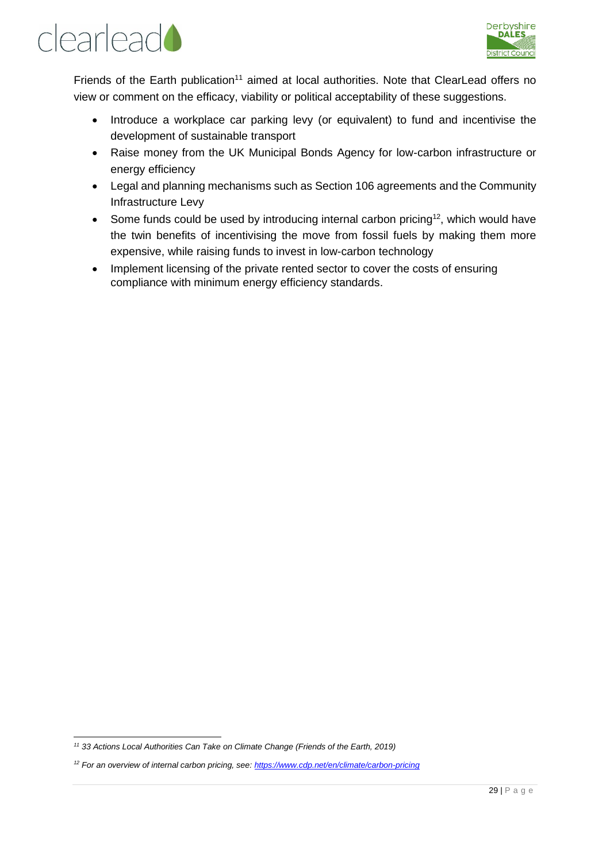![](_page_28_Picture_0.jpeg)

![](_page_28_Picture_1.jpeg)

Friends of the Earth publication<sup>11</sup> aimed at local authorities. Note that ClearLead offers no view or comment on the efficacy, viability or political acceptability of these suggestions.

- Introduce a workplace car parking levy (or equivalent) to fund and incentivise the development of sustainable transport
- Raise money from the UK Municipal Bonds Agency for low-carbon infrastructure or energy efficiency
- Legal and planning mechanisms such as Section 106 agreements and the Community Infrastructure Levy
- Some funds could be used by introducing internal carbon pricing<sup>12</sup>, which would have the twin benefits of incentivising the move from fossil fuels by making them more expensive, while raising funds to invest in low-carbon technology
- Implement licensing of the private rented sector to cover the costs of ensuring compliance with minimum energy efficiency standards.

*<sup>11</sup> 33 Actions Local Authorities Can Take on Climate Change (Friends of the Earth, 2019)*

*<sup>12</sup> For an overview of internal carbon pricing, see:<https://www.cdp.net/en/climate/carbon-pricing>*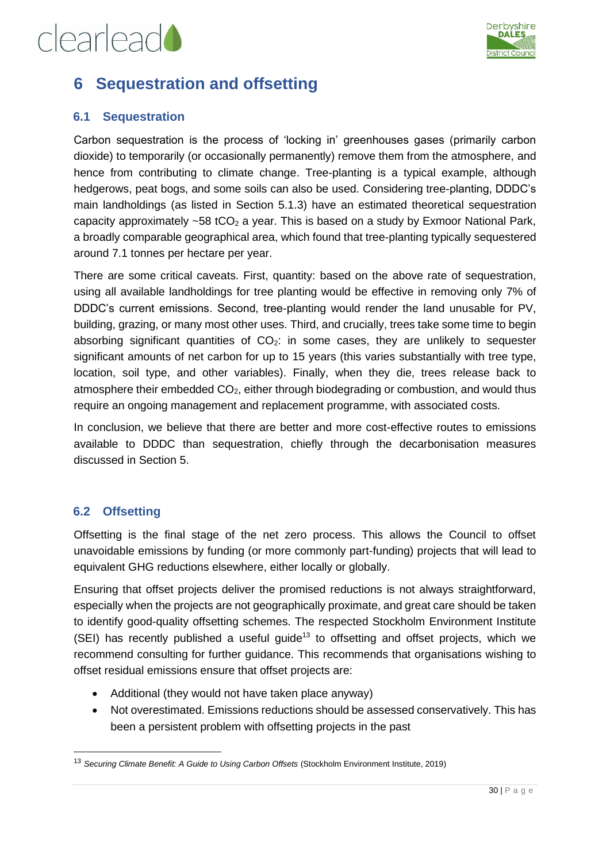![](_page_29_Picture_1.jpeg)

### <span id="page-29-0"></span>**6 Sequestration and offsetting**

#### <span id="page-29-1"></span>**6.1 Sequestration**

Carbon sequestration is the process of 'locking in' greenhouses gases (primarily carbon dioxide) to temporarily (or occasionally permanently) remove them from the atmosphere, and hence from contributing to climate change. Tree-planting is a typical example, although hedgerows, peat bogs, and some soils can also be used. Considering tree-planting, DDDC's main landholdings (as listed in Section [5.1.3\)](#page-17-1) have an estimated theoretical sequestration capacity approximately  $\sim$  58 tCO<sub>2</sub> a year. This is based on a study by Exmoor National Park, a broadly comparable geographical area, which found that tree-planting typically sequestered around 7.1 tonnes per hectare per year.

There are some critical caveats. First, quantity: based on the above rate of sequestration, using all available landholdings for tree planting would be effective in removing only 7% of DDDC's current emissions. Second, tree-planting would render the land unusable for PV, building, grazing, or many most other uses. Third, and crucially, trees take some time to begin absorbing significant quantities of  $CO<sub>2</sub>$ : in some cases, they are unlikely to sequester significant amounts of net carbon for up to 15 years (this varies substantially with tree type, location, soil type, and other variables). Finally, when they die, trees release back to atmosphere their embedded  $CO<sub>2</sub>$ , either through biodegrading or combustion, and would thus require an ongoing management and replacement programme, with associated costs.

In conclusion, we believe that there are better and more cost-effective routes to emissions available to DDDC than sequestration, chiefly through the decarbonisation measures discussed in Section [5.](#page-15-0)

#### <span id="page-29-2"></span>**6.2 Offsetting**

Offsetting is the final stage of the net zero process. This allows the Council to offset unavoidable emissions by funding (or more commonly part-funding) projects that will lead to equivalent GHG reductions elsewhere, either locally or globally.

Ensuring that offset projects deliver the promised reductions is not always straightforward, especially when the projects are not geographically proximate, and great care should be taken to identify good-quality offsetting schemes. The respected Stockholm Environment Institute (SEI) has recently published a useful guide<sup>13</sup> to offsetting and offset proiects. which we recommend consulting for further guidance. This recommends that organisations wishing to offset residual emissions ensure that offset projects are:

- Additional (they would not have taken place anyway)
- Not overestimated. Emissions reductions should be assessed conservatively. This has been a persistent problem with offsetting projects in the past

<sup>13</sup> *Securing Climate Benefit: A Guide to Using Carbon Offsets* (Stockholm Environment Institute, 2019)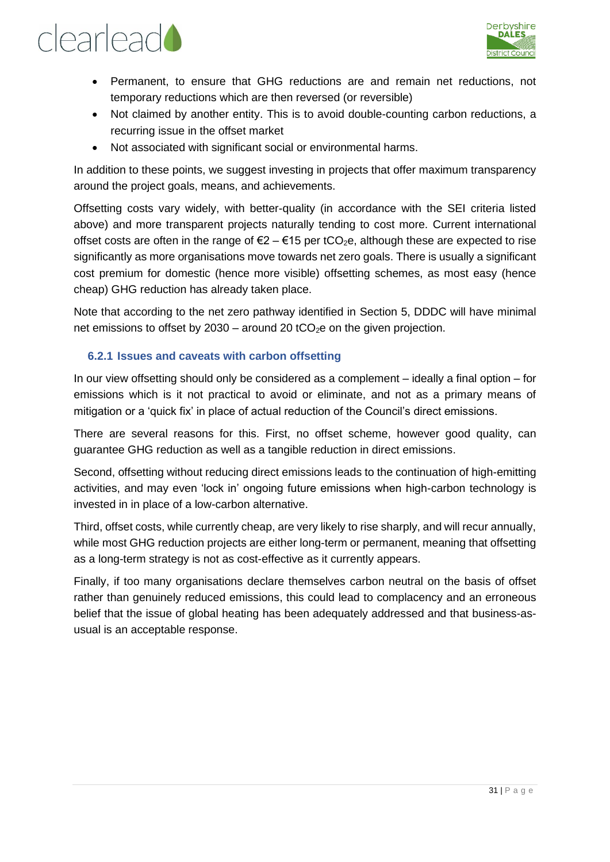![](_page_30_Picture_1.jpeg)

- Permanent, to ensure that GHG reductions are and remain net reductions, not temporary reductions which are then reversed (or reversible)
- Not claimed by another entity. This is to avoid double-counting carbon reductions, a recurring issue in the offset market
- Not associated with significant social or environmental harms.

In addition to these points, we suggest investing in projects that offer maximum transparency around the project goals, means, and achievements.

Offsetting costs vary widely, with better-quality (in accordance with the SEI criteria listed above) and more transparent projects naturally tending to cost more. Current international offset costs are often in the range of  $\epsilon 2 - \epsilon 15$  per tCO<sub>2</sub>e, although these are expected to rise significantly as more organisations move towards net zero goals. There is usually a significant cost premium for domestic (hence more visible) offsetting schemes, as most easy (hence cheap) GHG reduction has already taken place.

Note that according to the net zero pathway identified in Section [5,](#page-15-0) DDDC will have minimal net emissions to offset by 2030 – around 20 tCO<sub>2</sub>e on the given projection.

#### <span id="page-30-0"></span>**6.2.1 Issues and caveats with carbon offsetting**

In our view offsetting should only be considered as a complement – ideally a final option – for emissions which is it not practical to avoid or eliminate, and not as a primary means of mitigation or a 'quick fix' in place of actual reduction of the Council's direct emissions.

There are several reasons for this. First, no offset scheme, however good quality, can guarantee GHG reduction as well as a tangible reduction in direct emissions.

Second, offsetting without reducing direct emissions leads to the continuation of high-emitting activities, and may even 'lock in' ongoing future emissions when high-carbon technology is invested in in place of a low-carbon alternative.

Third, offset costs, while currently cheap, are very likely to rise sharply, and will recur annually, while most GHG reduction projects are either long-term or permanent, meaning that offsetting as a long-term strategy is not as cost-effective as it currently appears.

Finally, if too many organisations declare themselves carbon neutral on the basis of offset rather than genuinely reduced emissions, this could lead to complacency and an erroneous belief that the issue of global heating has been adequately addressed and that business-asusual is an acceptable response.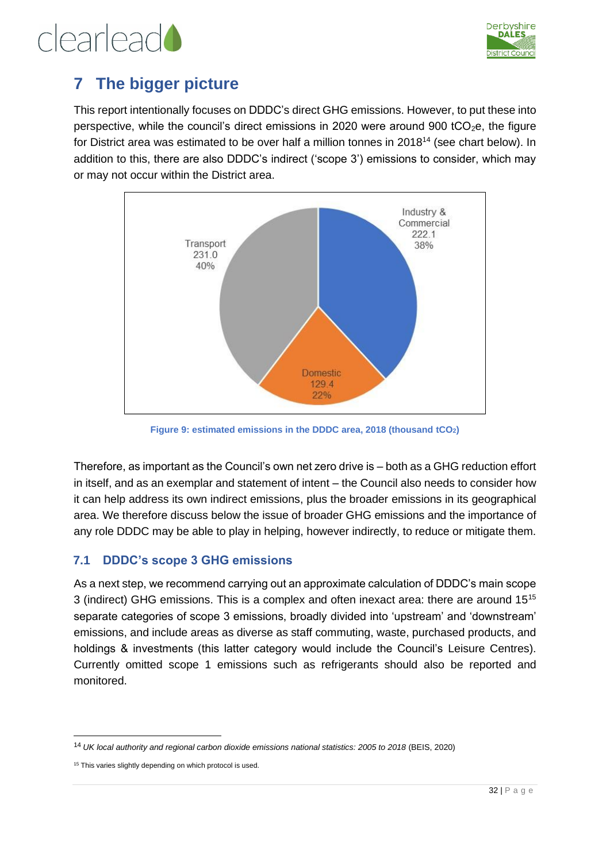![](_page_31_Picture_0.jpeg)

### <span id="page-31-0"></span>**7 The bigger picture**

This report intentionally focuses on DDDC's direct GHG emissions. However, to put these into perspective, while the council's direct emissions in 2020 were around 900 tCO<sub>2</sub>e, the figure for District area was estimated to be over half a million tonnes in 2018<sup>14</sup> (see chart below). In addition to this, there are also DDDC's indirect ('scope 3') emissions to consider, which may or may not occur within the District area.

![](_page_31_Figure_4.jpeg)

**Figure 9: estimated emissions in the DDDC area, 2018 (thousand tCO2)**

Therefore, as important as the Council's own net zero drive is – both as a GHG reduction effort in itself, and as an exemplar and statement of intent – the Council also needs to consider how it can help address its own indirect emissions, plus the broader emissions in its geographical area. We therefore discuss below the issue of broader GHG emissions and the importance of any role DDDC may be able to play in helping, however indirectly, to reduce or mitigate them.

#### <span id="page-31-1"></span>**7.1 DDDC's scope 3 GHG emissions**

As a next step, we recommend carrying out an approximate calculation of DDDC's main scope 3 (indirect) GHG emissions. This is a complex and often inexact area: there are around 15<sup>15</sup> separate categories of scope 3 emissions, broadly divided into 'upstream' and 'downstream' emissions, and include areas as diverse as staff commuting, waste, purchased products, and holdings & investments (this latter category would include the Council's Leisure Centres). Currently omitted scope 1 emissions such as refrigerants should also be reported and monitored.

<sup>14</sup> *UK local authority and regional carbon dioxide emissions national statistics: 2005 to 2018* (BEIS, 2020)

<sup>&</sup>lt;sup>15</sup> This varies slightly depending on which protocol is used.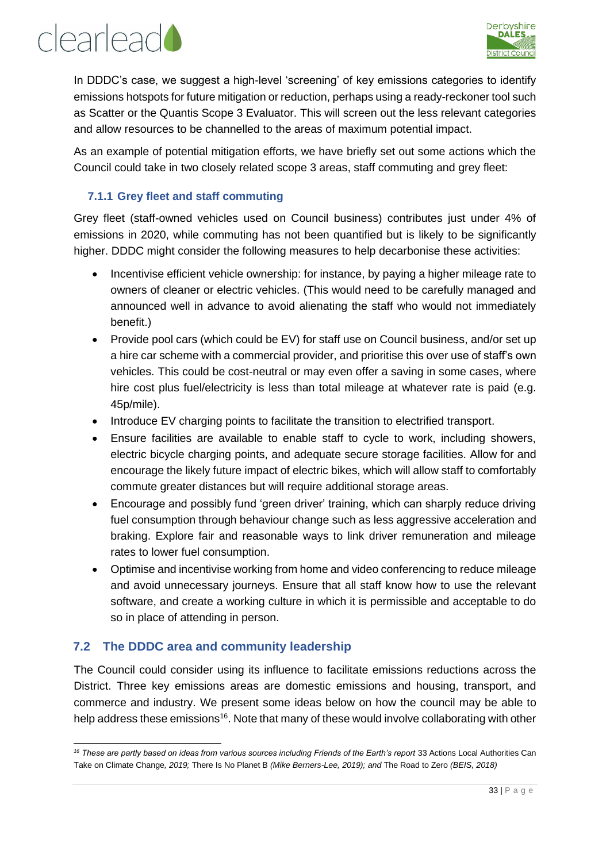## clearlead

![](_page_32_Picture_1.jpeg)

In DDDC's case, we suggest a high-level 'screening' of key emissions categories to identify emissions hotspots for future mitigation or reduction, perhaps using a ready-reckoner tool such as Scatter or the Quantis Scope 3 Evaluator. This will screen out the less relevant categories and allow resources to be channelled to the areas of maximum potential impact.

As an example of potential mitigation efforts, we have briefly set out some actions which the Council could take in two closely related scope 3 areas, staff commuting and grey fleet:

#### <span id="page-32-0"></span>**7.1.1 Grey fleet and staff commuting**

Grey fleet (staff-owned vehicles used on Council business) contributes just under 4% of emissions in 2020, while commuting has not been quantified but is likely to be significantly higher. DDDC might consider the following measures to help decarbonise these activities:

- Incentivise efficient vehicle ownership: for instance, by paying a higher mileage rate to owners of cleaner or electric vehicles. (This would need to be carefully managed and announced well in advance to avoid alienating the staff who would not immediately benefit.)
- Provide pool cars (which could be EV) for staff use on Council business, and/or set up a hire car scheme with a commercial provider, and prioritise this over use of staff's own vehicles. This could be cost-neutral or may even offer a saving in some cases, where hire cost plus fuel/electricity is less than total mileage at whatever rate is paid (e.g. 45p/mile).
- Introduce EV charging points to facilitate the transition to electrified transport.
- Ensure facilities are available to enable staff to cycle to work, including showers, electric bicycle charging points, and adequate secure storage facilities. Allow for and encourage the likely future impact of electric bikes, which will allow staff to comfortably commute greater distances but will require additional storage areas.
- Encourage and possibly fund 'green driver' training, which can sharply reduce driving fuel consumption through behaviour change such as less aggressive acceleration and braking. Explore fair and reasonable ways to link driver remuneration and mileage rates to lower fuel consumption.
- Optimise and incentivise working from home and video conferencing to reduce mileage and avoid unnecessary journeys. Ensure that all staff know how to use the relevant software, and create a working culture in which it is permissible and acceptable to do so in place of attending in person.

#### <span id="page-32-1"></span>**7.2 The DDDC area and community leadership**

The Council could consider using its influence to facilitate emissions reductions across the District. Three key emissions areas are domestic emissions and housing, transport, and commerce and industry. We present some ideas below on how the council may be able to help address these emissions<sup>16</sup>. Note that many of these would involve collaborating with other

<sup>&</sup>lt;sup>16</sup> These are partly based on ideas from various sources including Friends of the Earth's report 33 Actions Local Authorities Can Take on Climate Change*, 2019;* There Is No Planet B *(Mike Berners-Lee, 2019); and* The Road to Zero *(BEIS, 2018)*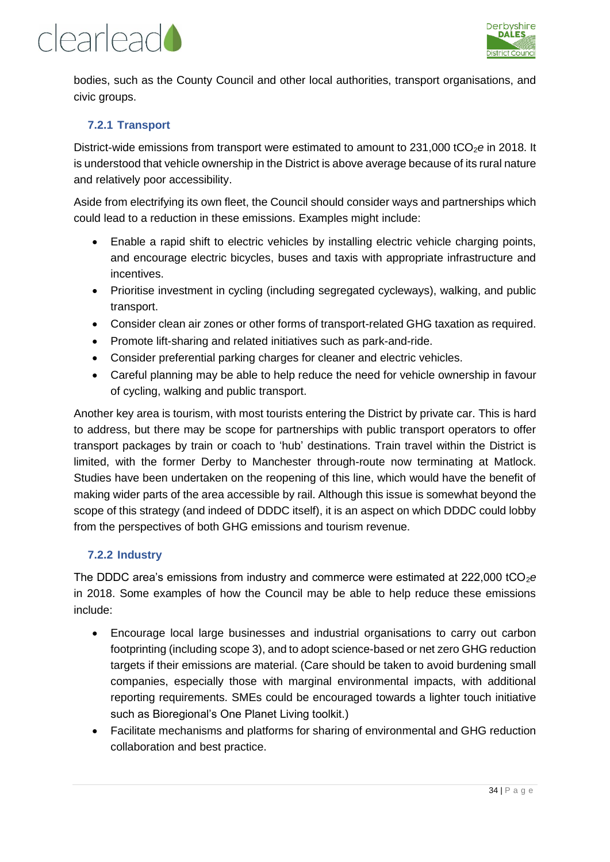![](_page_33_Picture_0.jpeg)

![](_page_33_Picture_1.jpeg)

bodies, such as the County Council and other local authorities, transport organisations, and civic groups.

#### <span id="page-33-0"></span>**7.2.1 Transport**

District-wide emissions from transport were estimated to amount to 231,000 tCO<sub>2</sub>e in 2018. It is understood that vehicle ownership in the District is above average because of its rural nature and relatively poor accessibility.

Aside from electrifying its own fleet, the Council should consider ways and partnerships which could lead to a reduction in these emissions. Examples might include:

- Enable a rapid shift to electric vehicles by installing electric vehicle charging points, and encourage electric bicycles, buses and taxis with appropriate infrastructure and incentives.
- Prioritise investment in cycling (including segregated cycleways), walking, and public transport.
- Consider clean air zones or other forms of transport-related GHG taxation as required.
- Promote lift-sharing and related initiatives such as park-and-ride.
- Consider preferential parking charges for cleaner and electric vehicles.
- Careful planning may be able to help reduce the need for vehicle ownership in favour of cycling, walking and public transport.

Another key area is tourism, with most tourists entering the District by private car. This is hard to address, but there may be scope for partnerships with public transport operators to offer transport packages by train or coach to 'hub' destinations. Train travel within the District is limited, with the former Derby to Manchester through-route now terminating at Matlock. Studies have been undertaken on the reopening of this line, which would have the benefit of making wider parts of the area accessible by rail. Although this issue is somewhat beyond the scope of this strategy (and indeed of DDDC itself), it is an aspect on which DDDC could lobby from the perspectives of both GHG emissions and tourism revenue.

#### <span id="page-33-1"></span>**7.2.2 Industry**

The DDDC area's emissions from industry and commerce were estimated at  $222,000$  tCO<sub>2</sub>e in 2018. Some examples of how the Council may be able to help reduce these emissions include:

- Encourage local large businesses and industrial organisations to carry out carbon footprinting (including scope 3), and to adopt science-based or net zero GHG reduction targets if their emissions are material. (Care should be taken to avoid burdening small companies, especially those with marginal environmental impacts, with additional reporting requirements. SMEs could be encouraged towards a lighter touch initiative such as Bioregional's One Planet Living toolkit.)
- Facilitate mechanisms and platforms for sharing of environmental and GHG reduction collaboration and best practice.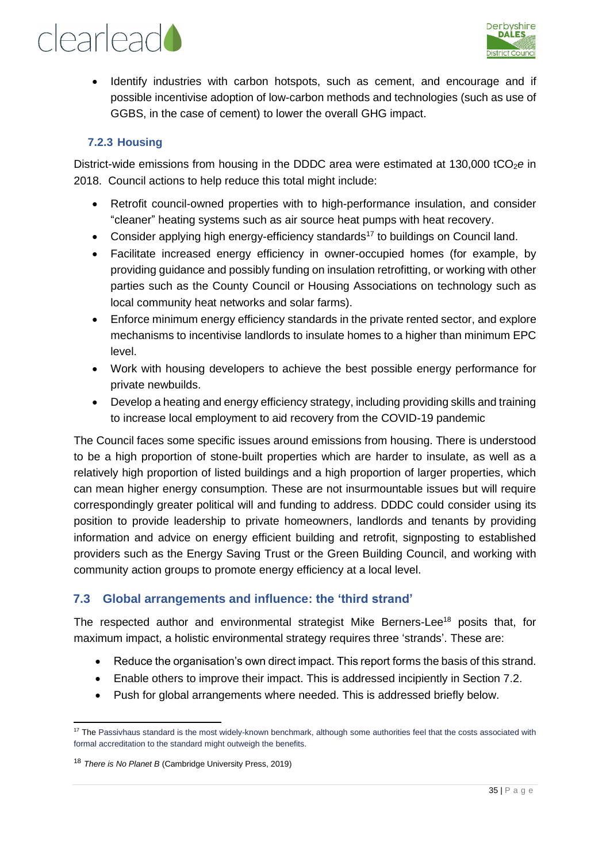![](_page_34_Picture_1.jpeg)

• Identify industries with carbon hotspots, such as cement, and encourage and if possible incentivise adoption of low-carbon methods and technologies (such as use of GGBS, in the case of cement) to lower the overall GHG impact.

#### <span id="page-34-0"></span>**7.2.3 Housing**

District-wide emissions from housing in the DDDC area were estimated at 130,000 tCO<sub>2</sub>e in 2018. Council actions to help reduce this total might include:

- Retrofit council-owned properties with to high-performance insulation, and consider "cleaner" heating systems such as air source heat pumps with heat recovery.
- Consider applying high energy-efficiency standards<sup>17</sup> to buildings on Council land.
- Facilitate increased energy efficiency in owner-occupied homes (for example, by providing guidance and possibly funding on insulation retrofitting, or working with other parties such as the County Council or Housing Associations on technology such as local community heat networks and solar farms).
- Enforce minimum energy efficiency standards in the private rented sector, and explore mechanisms to incentivise landlords to insulate homes to a higher than minimum EPC level.
- Work with housing developers to achieve the best possible energy performance for private newbuilds.
- Develop a heating and energy efficiency strategy, including providing skills and training to increase local employment to aid recovery from the COVID-19 pandemic

The Council faces some specific issues around emissions from housing. There is understood to be a high proportion of stone-built properties which are harder to insulate, as well as a relatively high proportion of listed buildings and a high proportion of larger properties, which can mean higher energy consumption. These are not insurmountable issues but will require correspondingly greater political will and funding to address. DDDC could consider using its position to provide leadership to private homeowners, landlords and tenants by providing information and advice on energy efficient building and retrofit, signposting to established providers such as the Energy Saving Trust or the Green Building Council, and working with community action groups to promote energy efficiency at a local level.

#### <span id="page-34-1"></span>**7.3 Global arrangements and influence: the 'third strand'**

The respected author and environmental strategist Mike Berners-Lee<sup>18</sup> posits that, for maximum impact, a holistic environmental strategy requires three 'strands'. These are:

- Reduce the organisation's own direct impact. This report forms the basis of this strand.
- Enable others to improve their impact. This is addressed incipiently in Section 7.2.
- Push for global arrangements where needed. This is addressed briefly below.

<sup>&</sup>lt;sup>17</sup> The Passivhaus standard is the most widely-known benchmark, although some authorities feel that the costs associated with formal accreditation to the standard might outweigh the benefits.

<sup>18</sup> *There is No Planet B* (Cambridge University Press, 2019)